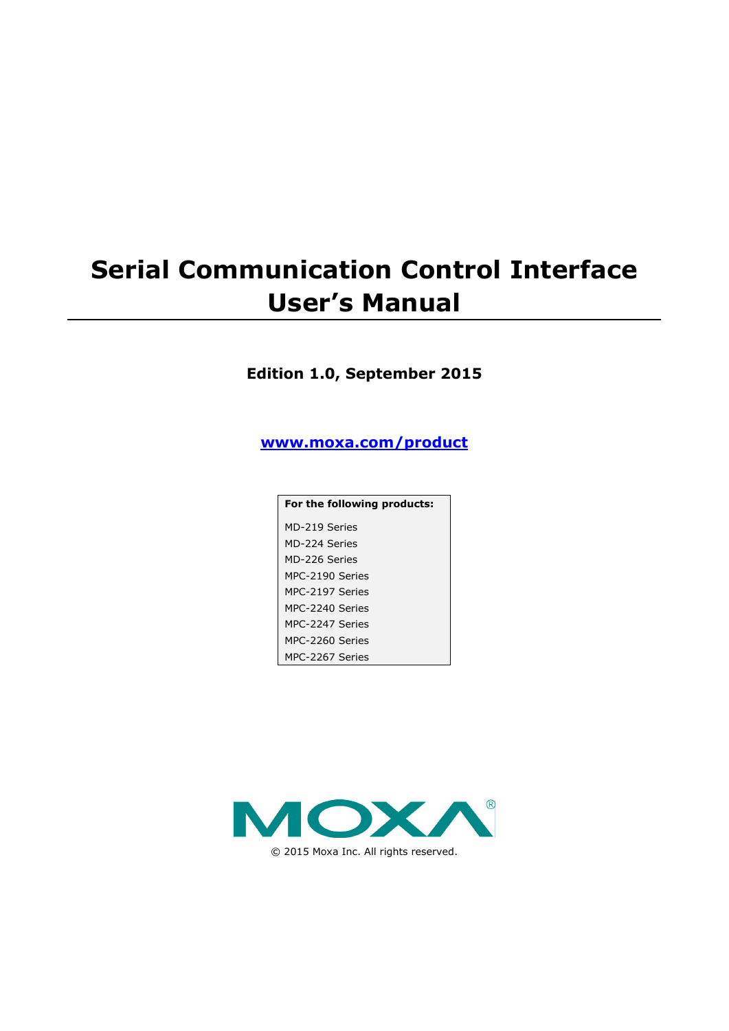# **Serial Communication Control Interface User's Manual**

### **Edition 1.0, September 2015**

**[www.moxa.com/product](http://www.moxa.com/product)**

| For the following products: |
|-----------------------------|
| MD-219 Series               |
| MD-224 Series               |
| MD-226 Series               |
| MPC-2190 Series             |
| MPC-2197 Series             |
| MPC-2240 Series             |
| MPC-2247 Series             |
| MPC-2260 Series             |
| MPC-2267 Series             |

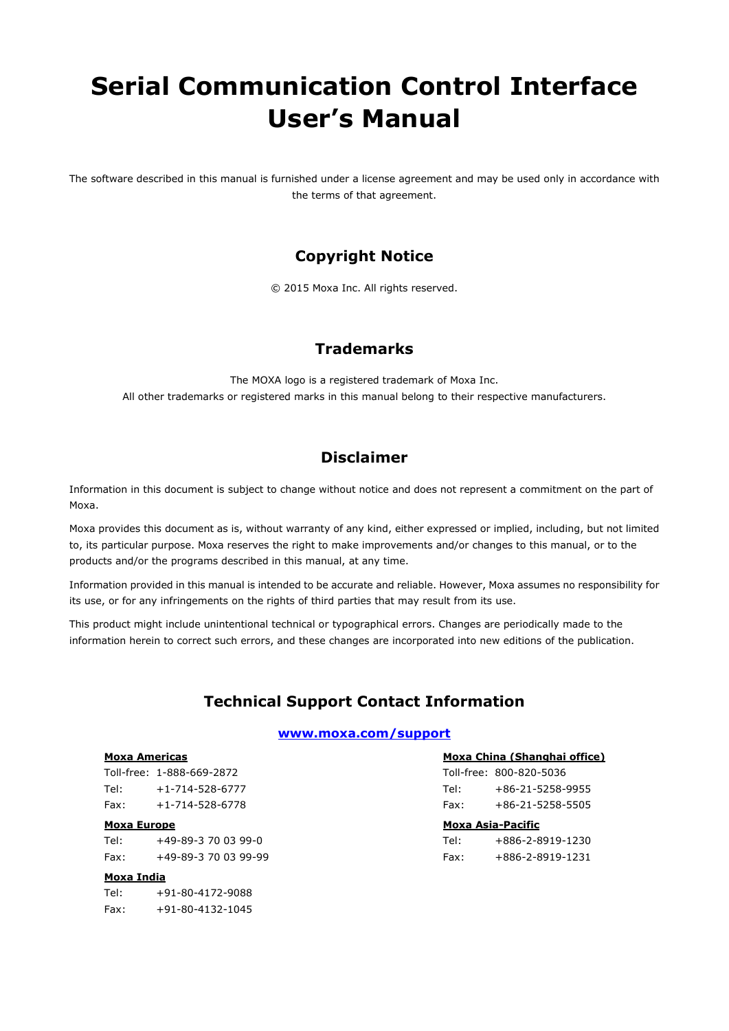# **Serial Communication Control Interface User's Manual**

The software described in this manual is furnished under a license agreement and may be used only in accordance with the terms of that agreement.

### **Copyright Notice**

© 2015 Moxa Inc. All rights reserved.

### **Trademarks**

The MOXA logo is a registered trademark of Moxa Inc. All other trademarks or registered marks in this manual belong to their respective manufacturers.

### **Disclaimer**

Information in this document is subject to change without notice and does not represent a commitment on the part of Moxa.

Moxa provides this document as is, without warranty of any kind, either expressed or implied, including, but not limited to, its particular purpose. Moxa reserves the right to make improvements and/or changes to this manual, or to the products and/or the programs described in this manual, at any time.

Information provided in this manual is intended to be accurate and reliable. However, Moxa assumes no responsibility for its use, or for any infringements on the rights of third parties that may result from its use.

This product might include unintentional technical or typographical errors. Changes are periodically made to the information herein to correct such errors, and these changes are incorporated into new editions of the publication.

### **Technical Support Contact Information**

#### **www.moxa.com/support**

#### **Moxa Americas**

Toll-free: 1-888-669-2872 Tel: +1-714-528-6777 Fax: +1-714-528-6778

#### **Moxa Europe**

Tel: +49-89-3 70 03 99-0 Fax: +49-89-3 70 03 99-99

#### **Moxa India**

Tel: +91-80-4172-9088  $Fax: +91-80-4132-1045$ 

#### **Moxa China (Shanghai office)**

Toll-free: 800-820-5036 Tel: +86-21-5258-9955 Fax: +86-21-5258-5505

#### **Moxa Asia-Pacific**

| Tel: | +886-2-8919-1230         |
|------|--------------------------|
| Fax: | $+886 - 2 - 8919 - 1231$ |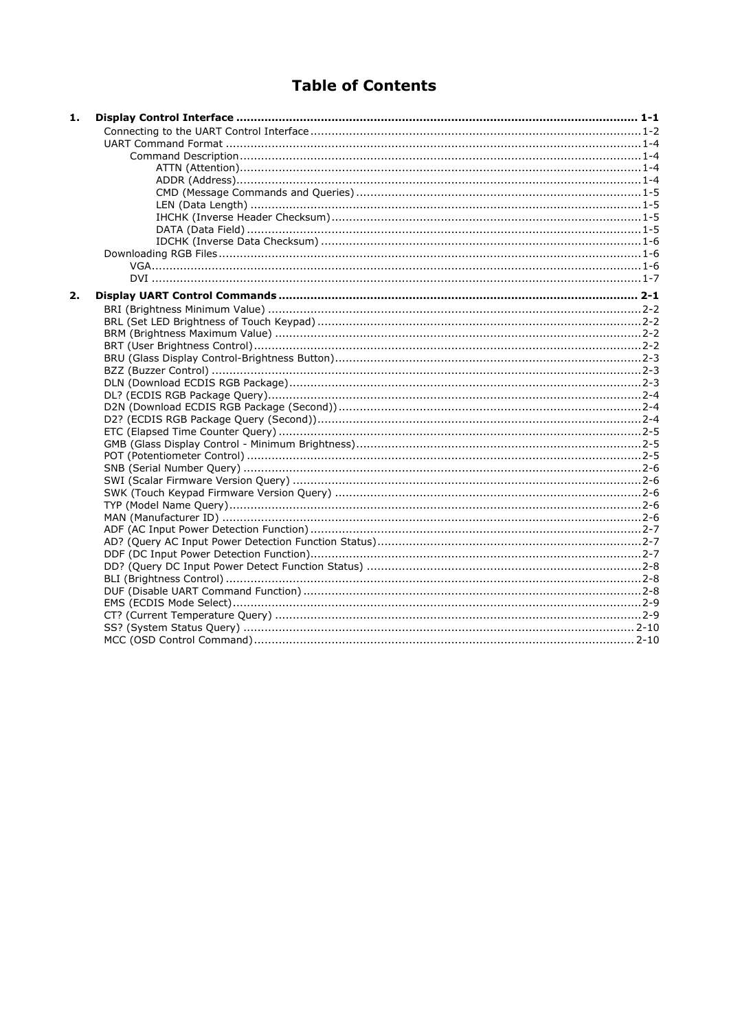### **Table of Contents**

| 2. | 1. |  |
|----|----|--|
|    |    |  |
|    |    |  |
|    |    |  |
|    |    |  |
|    |    |  |
|    |    |  |
|    |    |  |
|    |    |  |
|    |    |  |
|    |    |  |
|    |    |  |
|    |    |  |
|    |    |  |
|    |    |  |
|    |    |  |
|    |    |  |
|    |    |  |
|    |    |  |
|    |    |  |
|    |    |  |
|    |    |  |
|    |    |  |
|    |    |  |
|    |    |  |
|    |    |  |
|    |    |  |
|    |    |  |
|    |    |  |
|    |    |  |
|    |    |  |
|    |    |  |
|    |    |  |
|    |    |  |
|    |    |  |
|    |    |  |
|    |    |  |
|    |    |  |
|    |    |  |
|    |    |  |
|    |    |  |
|    |    |  |
|    |    |  |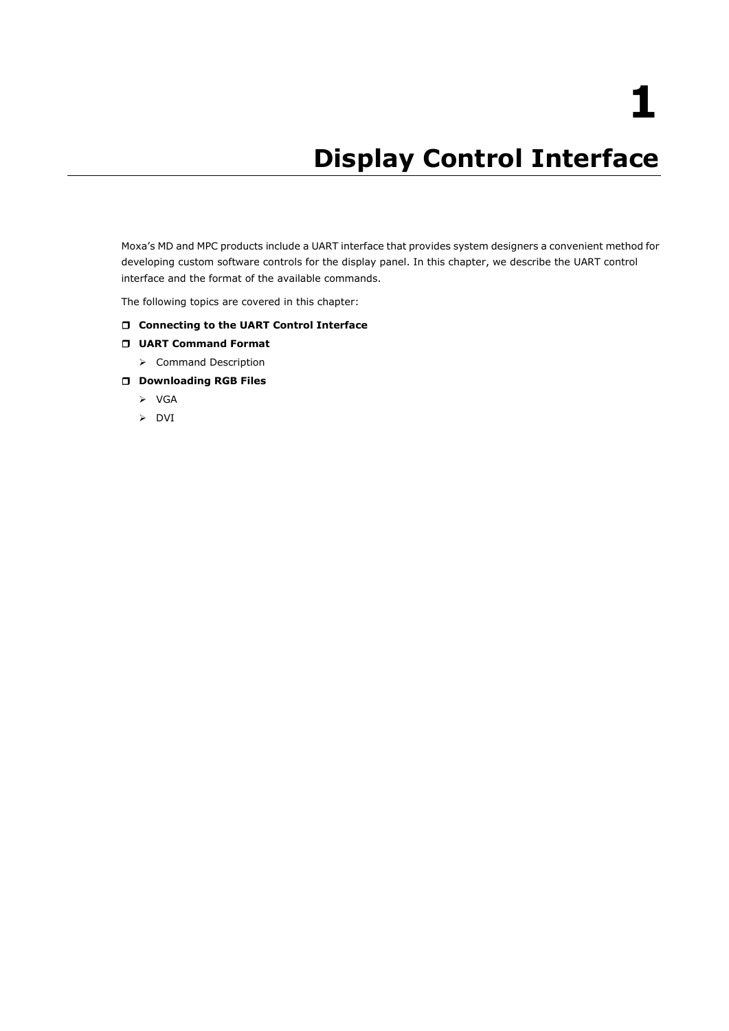# **1. Display Control Interface**

<span id="page-3-0"></span>Moxa's MD and MPC products include a UART interface that provides system designers a convenient method for developing custom software controls for the display panel. In this chapter, we describe the UART control interface and the format of the available commands.

The following topics are covered in this chapter:

#### **[Connecting to the UART Control Interface](#page-4-0)**

- **[UART Command Format](#page-6-0)**
	- > [Command Description](#page-6-1)
- **[Downloading RGB Files](#page-8-1)**
	- $\triangleright$  [VGA](#page-8-2)
	- > [DVI](#page-9-0)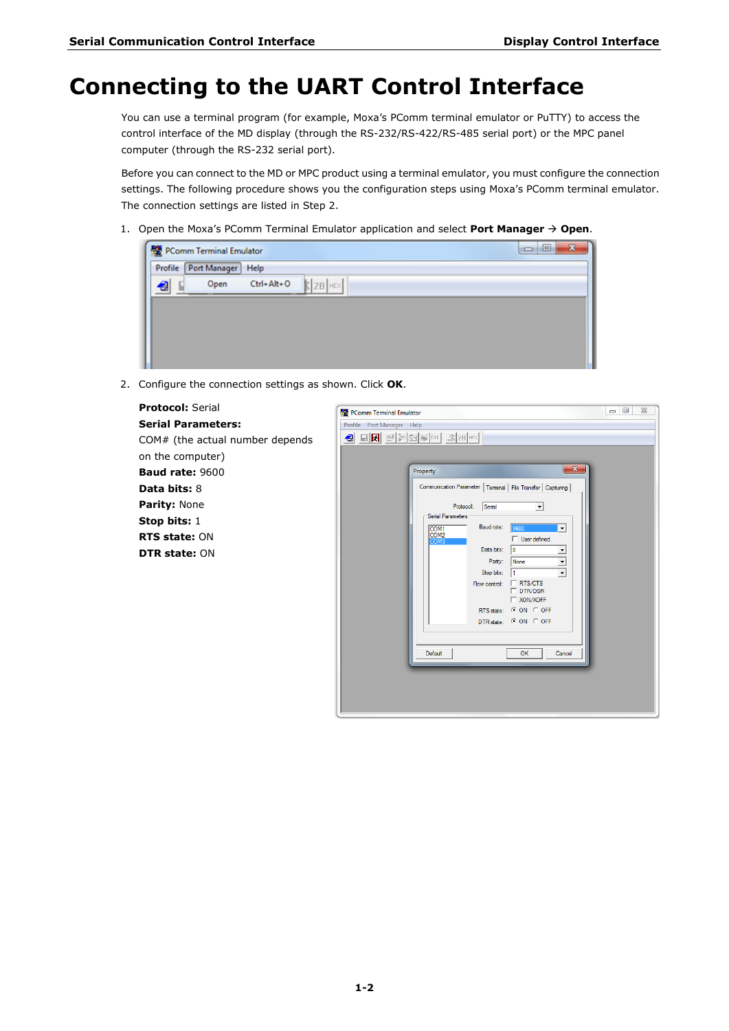### <span id="page-4-0"></span>**Connecting to the UART Control Interface**

You can use a terminal program (for example, Moxa's PComm terminal emulator or PuTTY) to access the control interface of the MD display (through the RS-232/RS-422/RS-485 serial port) or the MPC panel computer (through the RS-232 serial port).

Before you can connect to the MD or MPC product using a terminal emulator, you must configure the connection settings. The following procedure shows you the configuration steps using Moxa's PComm terminal emulator. The connection settings are listed in Step 2.

1. Open the Moxa's PComm Terminal Emulator application and select Port Manager  $\rightarrow$  Open.

|   | Profile Port Manager Help |                  |          |  |
|---|---------------------------|------------------|----------|--|
| 해 | Open                      | $Ctrl + Alt + O$ | $2B$ HEX |  |
|   |                           |                  |          |  |
|   |                           |                  |          |  |
|   |                           |                  |          |  |

2. Configure the connection settings as shown. Click **OK**.

| <b>Protocol: Serial</b>         | $\Box$<br>$\Sigma$<br>PComm Terminal Emulator                                                                       |
|---------------------------------|---------------------------------------------------------------------------------------------------------------------|
| <b>Serial Parameters:</b>       | Profile Port Manager Help                                                                                           |
| COM# (the actual number depends |                                                                                                                     |
| on the computer)                |                                                                                                                     |
| <b>Baud rate: 9600</b>          | $\mathbf{x}$<br>Property                                                                                            |
| <b>Data bits: 8</b>             | Communication Parameter   Terminal   File Transfer   Capturing                                                      |
| Parity: None                    | Serial<br>Protocol:<br>$\blacktriangledown$                                                                         |
| Stop bits: 1                    | Serial Parameters<br>Baud rate:                                                                                     |
| <b>RTS state: ON</b>            | 9600<br>COM <sub>1</sub><br>$\overline{\phantom{a}}$<br>COM <sub>2</sub><br>$\Box$ User defined<br>COM <sub>3</sub> |
| <b>DTR state: ON</b>            | Data bits:<br>18                                                                                                    |
|                                 | None<br>Parity:<br>$\blacktriangledown$<br>$\blacktriangledown$<br>Stop bits:                                       |
|                                 | $\Box$ RTS/CTS<br>Flow control:<br>$\Gamma$ DTR/DSR                                                                 |
|                                 | <b>T XON/XOFF</b>                                                                                                   |
|                                 | RTS state: CON COFF<br>DTR state: CON COFF                                                                          |
|                                 |                                                                                                                     |
|                                 | OK                                                                                                                  |
|                                 | Default<br>Cancel                                                                                                   |
|                                 |                                                                                                                     |
|                                 |                                                                                                                     |
|                                 |                                                                                                                     |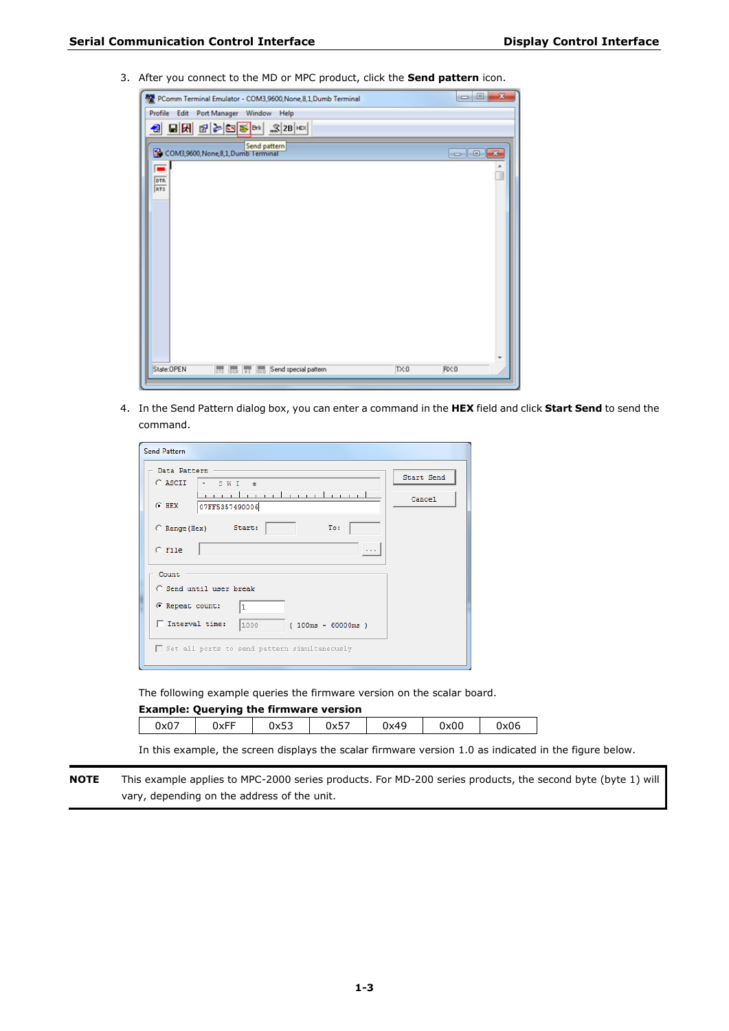3. After you connect to the MD or MPC product, click the **Send pattern** icon.



4. In the Send Pattern dialog box, you can enter a command in the **HEX** field and click **Start Send** to send the command.

| <b>Send Pattern</b>                                                                                                  |                      |
|----------------------------------------------------------------------------------------------------------------------|----------------------|
| Data Pattern<br>C ASCII<br>$\bullet$ SWI<br>$\rightarrow$<br>a mara dan masa dan masa s<br>$C$ HEX<br>07FF5357490006 | Start Send<br>Cancel |
| Start:<br>To:<br>C Range (Hex)<br>$C$ File                                                                           |                      |
| Count<br>C Send until user break                                                                                     |                      |
| C Repeat count:<br>$\mathbf{1}$<br>□ Interval time:<br>1000<br>(100ms ~ 60000ms )                                    |                      |
| Set all ports to send pattern simultaneously                                                                         |                      |

The following example queries the firmware version on the scalar board.

| <b>Example: Querying the firmware version</b> |      |      |      |      |      |      |
|-----------------------------------------------|------|------|------|------|------|------|
| 0x07                                          | 0xFF | 0x53 | 0x57 | 0x49 | 0x00 | 0x06 |

In this example, the screen displays the scalar firmware version 1.0 as indicated in the figure below.

**NOTE** This example applies to MPC-2000 series products. For MD-200 series products, the second byte (byte 1) will vary, depending on the address of the unit.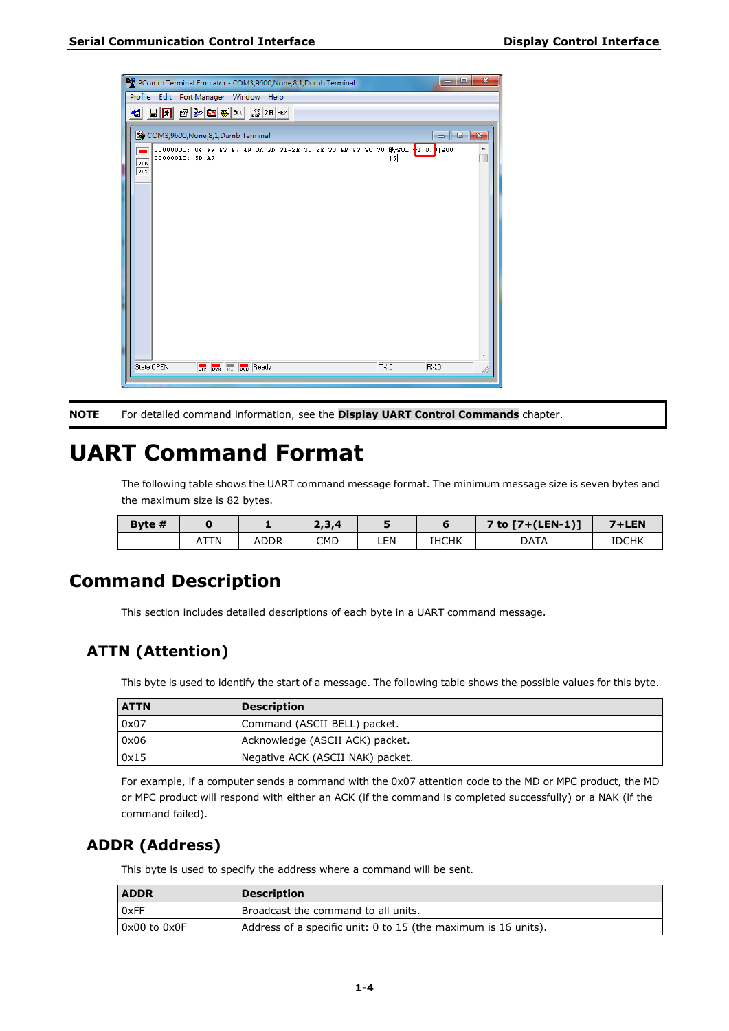

**NOTE** For detailed command information, see the **[Display UART Control Commands](#page-10-0)** chapter.

### <span id="page-6-0"></span>**UART Command Format**

The following table shows the UART command message format. The minimum message size is seven bytes and the maximum size is 82 bytes.

| Byte $#$ |    |             | 2,3,4 |     |              | 7 to $7 + (LEN-1)$ ] | 7+LEN        |
|----------|----|-------------|-------|-----|--------------|----------------------|--------------|
|          | TN | <b>ADDR</b> | CMD   | ∟EN | <b>IHCHK</b> | DATA                 | <b>IDCHK</b> |

### <span id="page-6-1"></span>**Command Description**

This section includes detailed descriptions of each byte in a UART command message.

### <span id="page-6-2"></span>**ATTN (Attention)**

This byte is used to identify the start of a message. The following table shows the possible values for this byte.

| <b>ATTN</b> | <b>Description</b>               |
|-------------|----------------------------------|
| 0x07        | Command (ASCII BELL) packet.     |
| 0x06        | Acknowledge (ASCII ACK) packet.  |
| 0x15        | Negative ACK (ASCII NAK) packet. |

For example, if a computer sends a command with the 0x07 attention code to the MD or MPC product, the MD or MPC product will respond with either an ACK (if the command is completed successfully) or a NAK (if the command failed).

### <span id="page-6-3"></span>**ADDR (Address)**

This byte is used to specify the address where a command will be sent.

| <b>ADDR</b>      | <b>Description</b>                                             |
|------------------|----------------------------------------------------------------|
| 0xFF             | Broadcast the command to all units.                            |
| $0x00$ to $0x0F$ | Address of a specific unit: 0 to 15 (the maximum is 16 units). |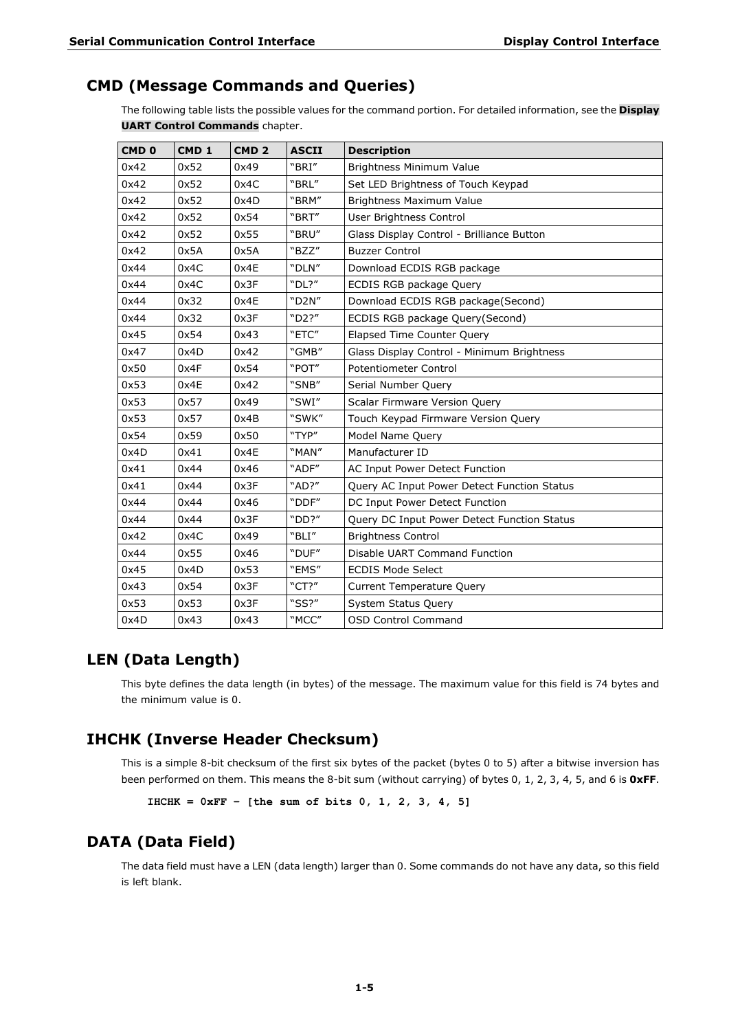### <span id="page-7-0"></span>**CMD (Message Commands and Queries)**

The following table lists the possible values for the command portion. For detailed information, see the **[Display](#page-10-0)  [UART Control Commands](#page-10-0)** chapter.

| CMD <sub>0</sub> | CMD <sub>1</sub> | CMD <sub>2</sub> | <b>ASCII</b> | <b>Description</b>                          |  |  |
|------------------|------------------|------------------|--------------|---------------------------------------------|--|--|
| 0x42             | 0x52             | 0x49             | "BRI"        | Brightness Minimum Value                    |  |  |
| 0x42             | 0x52             | 0x4C             | "BRL"        | Set LED Brightness of Touch Keypad          |  |  |
| 0x42             | 0x52             | 0x4D             | "BRM"        | <b>Brightness Maximum Value</b>             |  |  |
| 0x42             | 0x52             | 0x54             | "BRT"        | User Brightness Control                     |  |  |
| 0x42             | 0x52             | 0x55             | "BRU"        | Glass Display Control - Brilliance Button   |  |  |
| 0x42             | 0x5A             | 0x5A             | "BZZ"        | <b>Buzzer Control</b>                       |  |  |
| 0x44             | 0x4C             | 0x4E             | "DLN"        | Download ECDIS RGB package                  |  |  |
| 0x44             | 0x4C             | 0x3F             | "DL?"        | ECDIS RGB package Query                     |  |  |
| 0x44             | 0x32             | 0x4E             | "D2N"        | Download ECDIS RGB package(Second)          |  |  |
| 0x44             | 0x32             | 0x3F             | "D2?"        | ECDIS RGB package Query(Second)             |  |  |
| 0x45             | 0x54             | 0x43             | "ETC"        | Elapsed Time Counter Query                  |  |  |
| 0x47             | 0x4D             | 0x42             | "GMB"        | Glass Display Control - Minimum Brightness  |  |  |
| 0x50             | 0x4F             | 0x54             | "POT"        | <b>Potentiometer Control</b>                |  |  |
| 0x53             | 0x4E             | 0x42             | "SNB"        | Serial Number Query                         |  |  |
| 0x53             | 0x57             | 0x49             | "SWI"        | Scalar Firmware Version Query               |  |  |
| 0x53             | 0x57             | 0x4B             | "SWK"        | Touch Keypad Firmware Version Query         |  |  |
| 0x54             | 0x59             | 0x50             | "TYP"        | Model Name Query                            |  |  |
| 0x4D             | 0x41             | 0x4E             | "MAN"        | Manufacturer ID                             |  |  |
| 0x41             | 0x44             | 0x46             | "ADF"        | AC Input Power Detect Function              |  |  |
| 0x41             | 0x44             | 0x3F             | "AD?"        | Query AC Input Power Detect Function Status |  |  |
| 0x44             | 0x44             | 0x46             | "DDF"        | DC Input Power Detect Function              |  |  |
| 0x44             | 0x44             | 0x3F             | "DD?"        | Query DC Input Power Detect Function Status |  |  |
| 0x42             | 0x4C             | 0x49             | "BLI"        | <b>Brightness Control</b>                   |  |  |
| 0x44             | 0x55             | 0x46             | "DUF"        | Disable UART Command Function               |  |  |
| 0x45             | 0x4D             | 0x53             | "EMS"        | <b>ECDIS Mode Select</b>                    |  |  |
| 0x43             | 0x54             | 0x3F             | "CT?"        | <b>Current Temperature Query</b>            |  |  |
| 0x53             | 0x53             | 0x3F             | "SS?"        | System Status Query                         |  |  |
| 0x4D             | 0x43             | 0x43             | "MCC"        | <b>OSD Control Command</b>                  |  |  |

### <span id="page-7-1"></span>**LEN (Data Length)**

This byte defines the data length (in bytes) of the message. The maximum value for this field is 74 bytes and the minimum value is 0.

### <span id="page-7-2"></span>**IHCHK (Inverse Header Checksum)**

This is a simple 8-bit checksum of the first six bytes of the packet (bytes 0 to 5) after a bitwise inversion has been performed on them. This means the 8-bit sum (without carrying) of bytes 0, 1, 2, 3, 4, 5, and 6 is **0xFF**.

```
IHCHK = 0xFF – [the sum of bits 0, 1, 2, 3, 4, 5]
```
### <span id="page-7-3"></span>**DATA (Data Field)**

The data field must have a LEN (data length) larger than 0. Some commands do not have any data, so this field is left blank.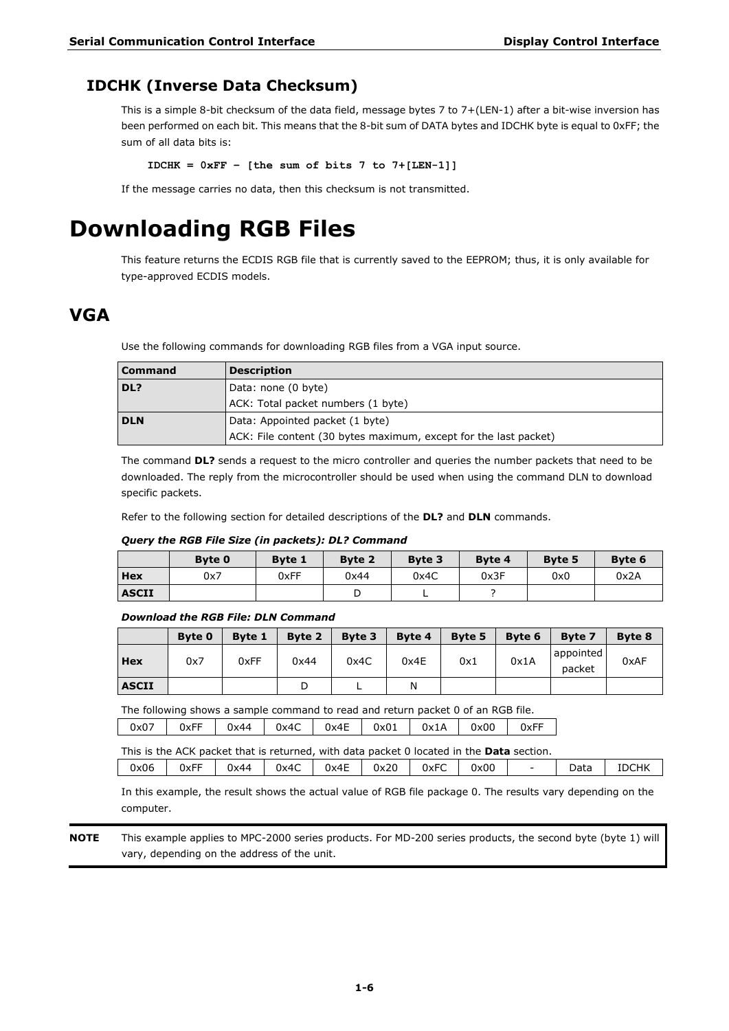### <span id="page-8-0"></span>**IDCHK (Inverse Data Checksum)**

This is a simple 8-bit checksum of the data field, message bytes 7 to 7+(LEN-1) after a bit-wise inversion has been performed on each bit. This means that the 8-bit sum of DATA bytes and IDCHK byte is equal to 0xFF; the sum of all data bits is:

**IDCHK = 0xFF – [the sum of bits 7 to 7+[LEN-1]]**

If the message carries no data, then this checksum is not transmitted.

### <span id="page-8-1"></span>**Downloading RGB Files**

This feature returns the ECDIS RGB file that is currently saved to the EEPROM; thus, it is only available for type-approved ECDIS models.

### <span id="page-8-2"></span>**VGA**

Use the following commands for downloading RGB files from a VGA input source.

| <b>Command</b> | <b>Description</b>                                               |  |  |  |  |
|----------------|------------------------------------------------------------------|--|--|--|--|
| DL?            | Data: none (0 byte)                                              |  |  |  |  |
|                | ACK: Total packet numbers (1 byte)                               |  |  |  |  |
| <b>DLN</b>     | Data: Appointed packet (1 byte)                                  |  |  |  |  |
|                | ACK: File content (30 bytes maximum, except for the last packet) |  |  |  |  |

The command **DL?** sends a request to the micro controller and queries the number packets that need to be downloaded. The reply from the microcontroller should be used when using the command DLN to download specific packets.

Refer to the following section for detailed descriptions of the **DL?** and **DLN** commands.

#### *Query the RGB File Size (in packets): DL? Command*

|              | <b>Byte 0</b> | Byte 1 | <b>Byte 2</b> | Byte 3 | <b>Byte 4</b> | <b>Byte 5</b> | Byte 6 |
|--------------|---------------|--------|---------------|--------|---------------|---------------|--------|
| Hex          | 0x7           | 0xFF   | 0x44          | 0x4C   | 0x3F          | 0x0           | 0x2A   |
| <b>ASCII</b> |               |        |               | -      |               |               |        |

#### *Download the RGB File: DLN Command*

|              | Byte 0 | <b>Byte 1</b> | Byte 2 | Byte 3 | Byte 4 | Byte 5 | Byte 6 | <b>Byte 7</b>       | <b>Byte 8</b> |
|--------------|--------|---------------|--------|--------|--------|--------|--------|---------------------|---------------|
| Hex          | 0x7    | 0xFF          | 0x44   | 0x4C   | 0x4E   | 0x1    | 0x1A   | appointed<br>packet | 0xAF          |
| <b>ASCII</b> |        |               |        |        |        |        |        |                     |               |

The following shows a sample command to read and return packet 0 of an RGB file. 0x07 | 0xFF | 0x44 | 0x4C | 0x4E | 0x01 | 0x1A | 0x00 | 0xFF

This is the ACK packet that is returned, with data packet 0 located in the **Data** section.

0x06 | 0xFF | 0x44 | 0x4C | 0x4E | 0x20 | 0xFC | 0x00 | - | Data | IDCHK In this example, the result shows the actual value of RGB file package 0. The results vary depending on the computer.

**NOTE** This example applies to MPC-2000 series products. For MD-200 series products, the second byte (byte 1) will vary, depending on the address of the unit.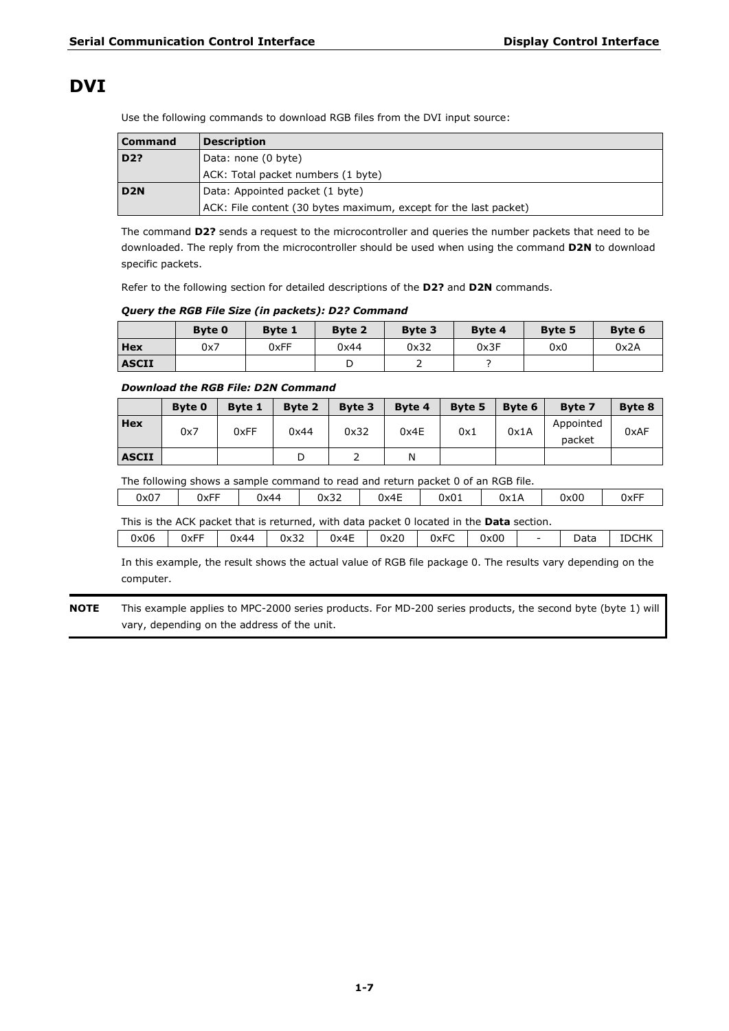### <span id="page-9-0"></span>**DVI**

Use the following commands to download RGB files from the DVI input source:

| <b>Command</b>  | <b>Description</b>                                               |
|-----------------|------------------------------------------------------------------|
| D2?             | Data: none (0 byte)                                              |
|                 | ACK: Total packet numbers (1 byte)                               |
| D <sub>2N</sub> | Data: Appointed packet (1 byte)                                  |
|                 | ACK: File content (30 bytes maximum, except for the last packet) |

The command **D2?** sends a request to the microcontroller and queries the number packets that need to be downloaded. The reply from the microcontroller should be used when using the command **D2N** to download specific packets.

Refer to the following section for detailed descriptions of the **D2?** and **D2N** commands.

#### *Query the RGB File Size (in packets): D2? Command*

|              | Byte 0 | <b>Byte 1</b> | <b>Byte 2</b> | Byte 3 | <b>Byte 4</b> | <b>Byte 5</b> | Byte 6 |
|--------------|--------|---------------|---------------|--------|---------------|---------------|--------|
| Hex          | 0x7    | 0xFF          | 0x44          | 0x32   | 0x3F          | 0x0           | 0x2A   |
| <b>ASCII</b> |        |               |               |        |               |               |        |

#### *Download the RGB File: D2N Command*

|              | <b>Byte 0</b> | <b>Byte 1</b> | Byte 2 | Byte 3 | <b>Byte 4</b> | Byte 5 | Byte 6 | <b>Byte 7</b>       | Byte 8 |
|--------------|---------------|---------------|--------|--------|---------------|--------|--------|---------------------|--------|
| <b>Hex</b>   | 0x7           | 0xFF          | 0x44   | 0x32   | 0x4E          | 0x1    | 0x1A   | Appointed<br>packet | 0xAF   |
| <b>ASCII</b> |               |               |        |        | Ν             |        |        |                     |        |

The following shows a sample command to read and return packet 0 of an RGB file.

| 0x07 | $- -$<br><b>UXFF</b> | 0x44 | $\sim$<br>0x32 | $\sim$<br>0x4E | 0x01 | 0x1A | 0x00 | 0xFF |
|------|----------------------|------|----------------|----------------|------|------|------|------|
|      |                      |      |                |                |      |      |      |      |

|  |  |  | This is the ACK packet that is returned, with data packet 0 located in the Data section. |  |  |
|--|--|--|------------------------------------------------------------------------------------------|--|--|
|  |  |  |                                                                                          |  |  |

| 0x06 | 0xFF | 0x44 | 0x32 | 0x4E | 0x20 | 0xFC | 0x00 | $\overline{\phantom{0}}$ | Data | <b>IDCHK</b> |
|------|------|------|------|------|------|------|------|--------------------------|------|--------------|
|      |      |      |      |      |      |      |      |                          |      |              |

In this example, the result shows the actual value of RGB file package 0. The results vary depending on the computer.

**NOTE** This example applies to MPC-2000 series products. For MD-200 series products, the second byte (byte 1) will vary, depending on the address of the unit.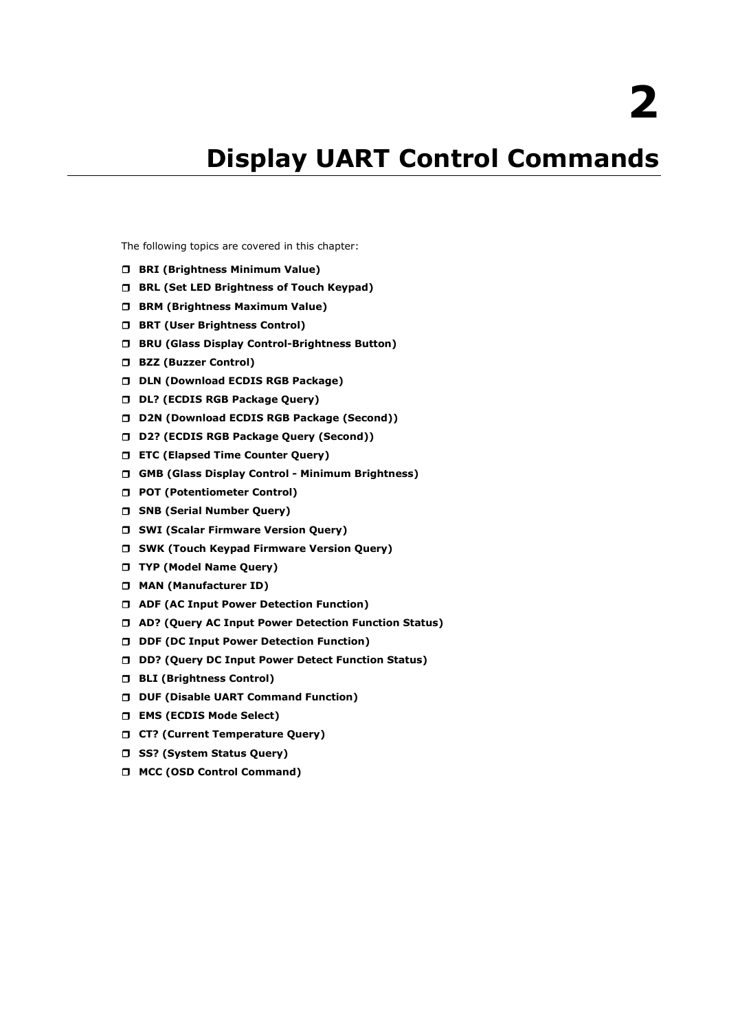# **2. Display UART Control Commands**

<span id="page-10-0"></span>The following topics are covered in this chapter:

- **BRI [\(Brightness Minimum Value\)](#page-11-0)**
- **[BRL \(Set LED Brightness of Touch Keypad\)](#page-11-1)**
- **[BRM \(Brightness Maximum Value\)](#page-11-2)**
- **[BRT \(User Brightness Control\)](#page-11-3)**
- **[BRU \(Glass Display Control-Brightness Button\)](#page-12-0)**
- **[BZZ \(Buzzer Control\)](#page-12-1)**
- **[DLN \(Download ECDIS RGB Package\)](#page-12-2)**
- **[DL? \(ECDIS RGB Package Query\)](#page-13-0)**
- **[D2N \(Download ECDIS RGB Package \(Second\)\)](#page-13-1)**
- **[D2? \(ECDIS RGB Package Query \(Second\)\)](#page-13-2)**
- **[ETC \(Elapsed Time Counter Query\)](#page-14-0)**
- **[GMB \(Glass Display Control -](#page-14-1) Minimum Brightness)**
- **[POT \(Potentiometer Control\)](#page-14-2)**
- **[SNB \(Serial Number Query\)](#page-15-0)**
- **[SWI \(Scalar Firmware Version Query\)](#page-15-1)**
- **[SWK \(Touch Keypad Firmware Version Query\)](#page-15-2)**
- **[TYP \(Model Name Query\)](#page-15-3)**
- **[MAN \(Manufacturer ID\)](#page-15-4)**
- **[ADF \(AC Input Power Detection Function\)](#page-16-0)**
- **[AD? \(Query AC Input Power Detection Function Status\)](#page-16-1)**
- **[DDF \(DC Input Power Detection Function\)](#page-16-2)**
- **[DD? \(Query DC Input Power Detect Function Status\)](#page-17-0)**
- **[BLI \(Brightness Control\)](#page-17-1)**
- **[DUF \(Disable UART Command Function\)](#page-17-2)**
- **[EMS \(ECDIS Mode Select\)](#page-18-0)**
- **[CT? \(Current Temperature Query\)](#page-18-1)**
- **[SS? \(System Status Query\)](#page-19-0)**
- **[MCC \(OSD Control Command\)](#page-19-1)**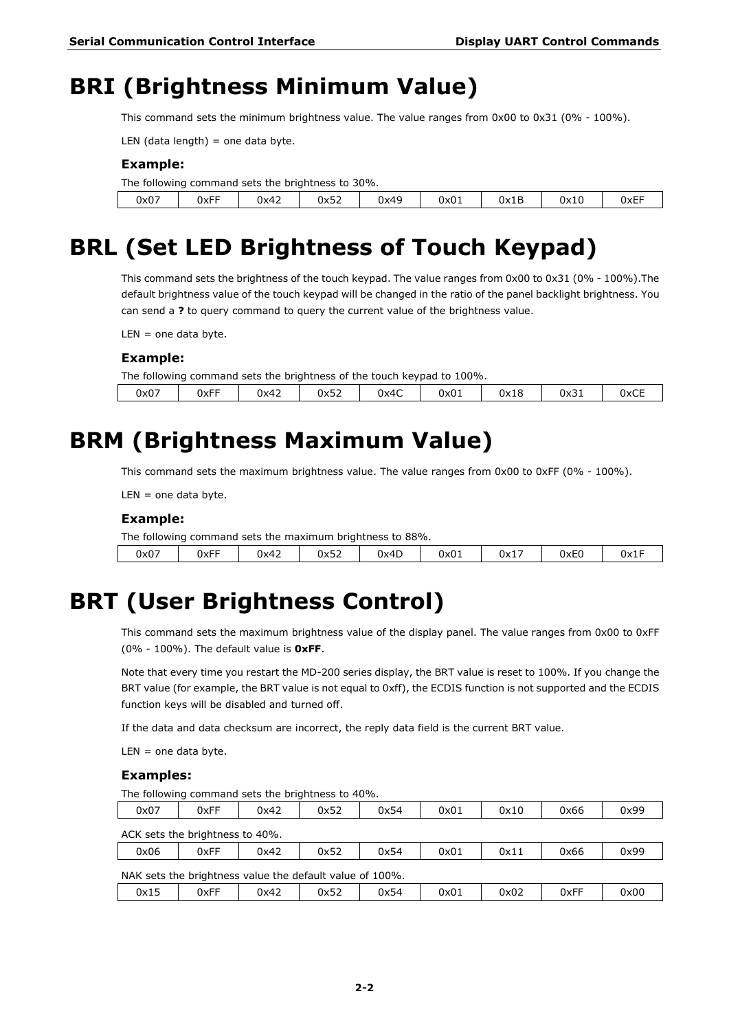### <span id="page-11-0"></span>**BRI (Brightness Minimum Value)**

This command sets the minimum brightness value. The value ranges from 0x00 to 0x31 (0% - 100%).

LEN (data length) = one data byte.

#### **Example:**

|      | The following command sets the brightness to 30%. |      |      |      |      |      |      |      |  |  |  |  |
|------|---------------------------------------------------|------|------|------|------|------|------|------|--|--|--|--|
| 0x07 | 0xFF                                              | 0x42 | 0x52 | 0x49 | 0x01 | 0x1B | 0x10 | 0xEF |  |  |  |  |

### <span id="page-11-1"></span>**BRL (Set LED Brightness of Touch Keypad)**

This command sets the brightness of the touch keypad. The value ranges from 0x00 to 0x31 (0% - 100%).The default brightness value of the touch keypad will be changed in the ratio of the panel backlight brightness. You can send a **?** to query command to query the current value of the brightness value.

 $LEN =$  one data byte.

#### **Example:**

The following command sets the brightness of the touch keypad to 100%.

### <span id="page-11-2"></span>**BRM (Brightness Maximum Value)**

This command sets the maximum brightness value. The value ranges from 0x00 to 0xFF (0% - 100%).

 $LEN =$  one data byte.

#### **Example:**

|      | The following command sets the maximum brightness to 88%. |        |      |      |      |      |      |      |  |  |  |
|------|-----------------------------------------------------------|--------|------|------|------|------|------|------|--|--|--|
| 0x07 | 0xFF                                                      | $0x42$ | 0x52 | 0x4D | 0x01 | 0x17 | 0xE0 | 0x1F |  |  |  |

### <span id="page-11-3"></span>**BRT (User Brightness Control)**

This command sets the maximum brightness value of the display panel. The value ranges from 0x00 to 0xFF (0% - 100%). The default value is **0xFF**.

Note that every time you restart the MD-200 series display, the BRT value is reset to 100%. If you change the BRT value (for example, the BRT value is not equal to 0xff), the ECDIS function is not supported and the ECDIS function keys will be disabled and turned off.

If the data and data checksum are incorrect, the reply data field is the current BRT value.

 $LEN =$  one data byte.

#### **Examples:**

The following command sets the brightness to 40%.

| 0x07                                                     | 0xFF | 0x42 | 0x52 | 0x54 | 0x01 | 0x10 | 0x66 | 0x99 |  |  |  |
|----------------------------------------------------------|------|------|------|------|------|------|------|------|--|--|--|
| ACK sets the brightness to 40%.                          |      |      |      |      |      |      |      |      |  |  |  |
| 0x06                                                     | 0xFF | 0x42 | 0x52 | 0x54 | 0x01 | 0x11 | 0x66 | 0x99 |  |  |  |
| NAK sets the brightness value the default value of 100%. |      |      |      |      |      |      |      |      |  |  |  |
| 0x15                                                     | 0xFF | 0x42 | 0x52 | 0x54 | 0x01 | 0x02 | 0xFF | 0x00 |  |  |  |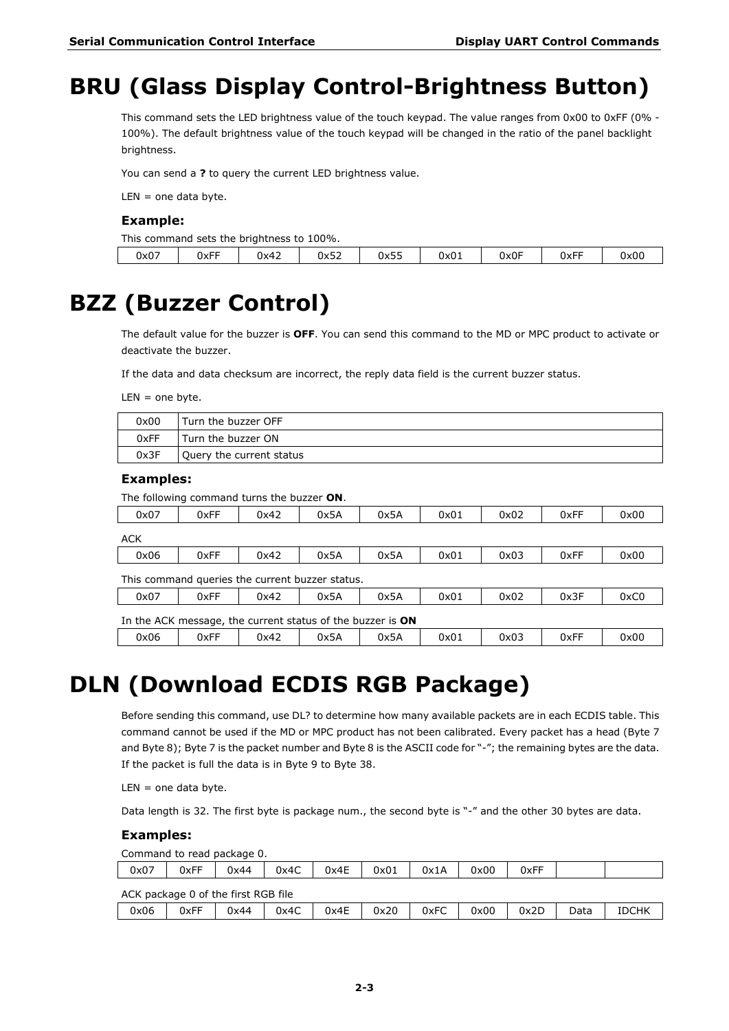## <span id="page-12-0"></span>**BRU (Glass Display Control-Brightness Button)**

This command sets the LED brightness value of the touch keypad. The value ranges from 0x00 to 0xFF (0% -100%). The default brightness value of the touch keypad will be changed in the ratio of the panel backlight brightness.

You can send a **?** to query the current LED brightness value.

 $LEN =$  one data byte.

#### **Example:**

This command sets the brightness to 100%.

| $ -$<br>$ -$<br>$\sim$ $-$<br>0x0F<br>$ -$<br>$\sim$<br>$- -$<br>$\overline{\phantom{a}}$<br>$\sim$<br>0x07<br>0x52<br><b>UXFF</b><br>0x00<br>0x42<br>ハントト<br>0xFF<br>0x0 <b>1</b><br>ぃ៱ၪၪ |  |  |  |  |  |
|--------------------------------------------------------------------------------------------------------------------------------------------------------------------------------------------|--|--|--|--|--|

### <span id="page-12-1"></span>**BZZ (Buzzer Control)**

The default value for the buzzer is **OFF**. You can send this command to the MD or MPC product to activate or deactivate the buzzer.

If the data and data checksum are incorrect, the reply data field is the current buzzer status.

 $LEN =$  one byte.

| 0x00 | Turn the buzzer OFF      |
|------|--------------------------|
| 0xFF | Turn the buzzer ON       |
| 0x3F | Ouery the current status |

#### **Examples:**

The following command turns the buzzer **ON**.

| 0x07                                                                 | 0xFF                                                       | 0x42 | 0x5A | 0x5A | 0x01 | 0x02 | 0xFF | 0x00 |  |  |  |
|----------------------------------------------------------------------|------------------------------------------------------------|------|------|------|------|------|------|------|--|--|--|
| <b>ACK</b>                                                           |                                                            |      |      |      |      |      |      |      |  |  |  |
| 0x06                                                                 | 0xFF                                                       | 0x42 | 0x5A | 0x5A | 0x01 | 0x03 | 0xFF | 0x00 |  |  |  |
| This command queries the current buzzer status.                      |                                                            |      |      |      |      |      |      |      |  |  |  |
| 0x3F<br>0xC0<br>0x07<br>0xFF<br>0x42<br>0x5A<br>0x5A<br>0x02<br>0x01 |                                                            |      |      |      |      |      |      |      |  |  |  |
|                                                                      | In the ACK message, the current status of the buzzer is ON |      |      |      |      |      |      |      |  |  |  |
| 0x06                                                                 | 0xFF                                                       | 0x42 | 0x5A | 0x5A | 0x01 | 0x03 | 0xFF | 0x00 |  |  |  |

### <span id="page-12-2"></span>**DLN (Download ECDIS RGB Package)**

Before sending this command, use DL? to determine how many available packets are in each ECDIS table. This command cannot be used if the MD or MPC product has not been calibrated. Every packet has a head (Byte 7 and Byte 8); Byte 7 is the packet number and Byte 8 is the ASCII code for "-"; the remaining bytes are the data. If the packet is full the data is in Byte 9 to Byte 38.

 $LEN =$  one data byte.

Data length is 32. The first byte is package num., the second byte is "-" and the other 30 bytes are data.

#### **Examples:**

Command to read package 0.

| 0x07                                | 0xFF | 0x44 | 0x4C | 0x4E | 0x01 | 0x1A | 0x00 | 0xFF |      |              |  |  |
|-------------------------------------|------|------|------|------|------|------|------|------|------|--------------|--|--|
| ACK package 0 of the first RGB file |      |      |      |      |      |      |      |      |      |              |  |  |
| 0x06                                | 0xFF | 0x44 | 0x4C | 0x4E | 0x20 | 0xFC | 0x00 | 0x2D | Data | <b>IDCHK</b> |  |  |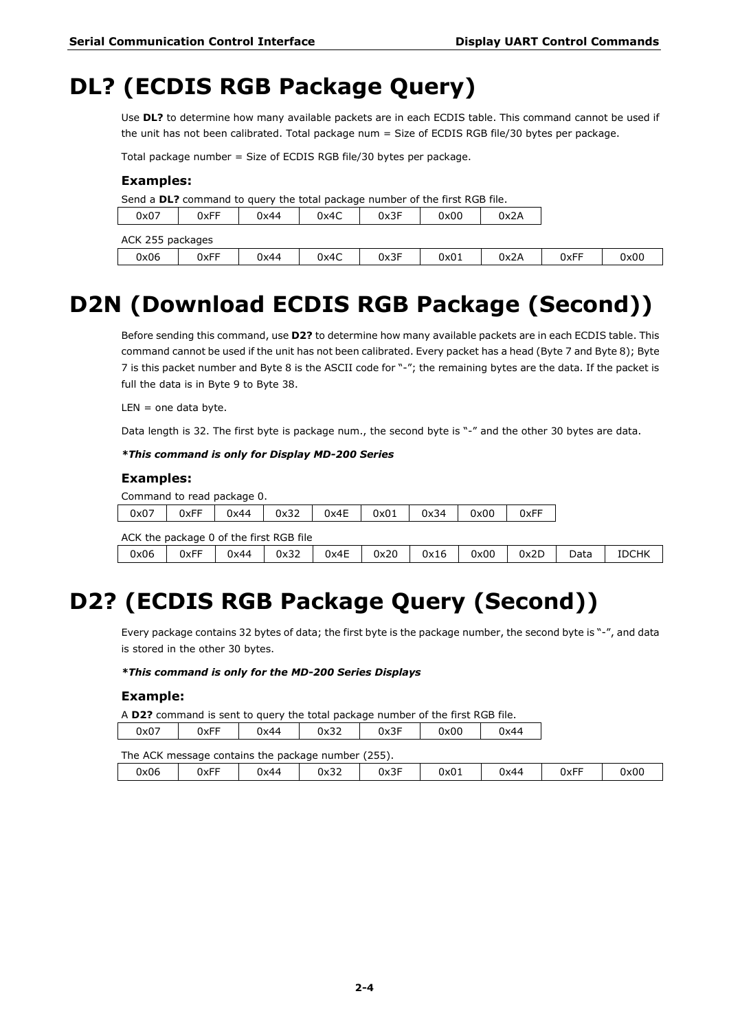## <span id="page-13-0"></span>**DL? (ECDIS RGB Package Query)**

Use **DL?** to determine how many available packets are in each ECDIS table. This command cannot be used if the unit has not been calibrated. Total package num = Size of ECDIS RGB file/30 bytes per package.

Total package number = Size of ECDIS RGB file/30 bytes per package.

#### **Examples:**

Send a **DL?** command to query the total package number of the first RGB file.

| 0x07             | 0xFF | 0x44 | 0x4C | 0x3F | 0x00 | 0x2A |      |      |  |  |  |
|------------------|------|------|------|------|------|------|------|------|--|--|--|
| ACK 255 packages |      |      |      |      |      |      |      |      |  |  |  |
| 0x06             | 0xFF | 0x44 | 0x4C | 0x3F | 0x01 | 0x2A | 0xFF | 0x00 |  |  |  |

## <span id="page-13-1"></span>**D2N (Download ECDIS RGB Package (Second))**

Before sending this command, use **D2?** to determine how many available packets are in each ECDIS table. This command cannot be used if the unit has not been calibrated. Every packet has a head (Byte 7 and Byte 8); Byte 7 is this packet number and Byte 8 is the ASCII code for "-"; the remaining bytes are the data. If the packet is full the data is in Byte 9 to Byte 38.

 $LEN =$  one data byte.

Data length is 32. The first byte is package num., the second byte is "-" and the other 30 bytes are data.

#### *\*This command is only for Display MD-200 Series*

#### **Examples:**

|      |                                         | Command to read package 0. |      |      |      |      |      |      |      |              |  |  |
|------|-----------------------------------------|----------------------------|------|------|------|------|------|------|------|--------------|--|--|
| 0x07 | 0xFF                                    | 0x44                       | 0x32 | 0x4E | 0x01 | 0x34 | 0x00 | 0xFF |      |              |  |  |
|      | ACK the package 0 of the first RGB file |                            |      |      |      |      |      |      |      |              |  |  |
| 0x06 | 0xFF                                    | 0x44                       | 0x32 | 0x4E | 0x20 | 0x16 | 0x00 | 0x2D | Data | <b>IDCHK</b> |  |  |

# <span id="page-13-2"></span>**D2? (ECDIS RGB Package Query (Second))**

Every package contains 32 bytes of data; the first byte is the package number, the second byte is "-", and data is stored in the other 30 bytes.

#### *\*This command is only for the MD-200 Series Displays*

#### **Example:**

A **D2?** command is sent to query the total package number of the first RGB file.

| $\sim$ $-$<br>$\sim$ $\sim$<br>$ -$<br>2 L |  |  | Jx07 | JX⊦⊦ | 0x44 | 0x32 | $0x3_1$ | 0x00 | 0x44 |
|--------------------------------------------|--|--|------|------|------|------|---------|------|------|
|--------------------------------------------|--|--|------|------|------|------|---------|------|------|

The ACK message contains the package number (255).

| 0x06 | $- -$<br>-<br>0xFF | 0x44 | $\sim$ $\sim$<br>0x3z<br>____ | $\sim$ $-$<br>0x31<br>∘ - ≀ – | 0x01 | 0x44 | $- -$<br>$\overline{\phantom{a}}$<br><b>OXFF</b> | 0x00 |
|------|--------------------|------|-------------------------------|-------------------------------|------|------|--------------------------------------------------|------|
|      |                    |      |                               |                               |      |      |                                                  |      |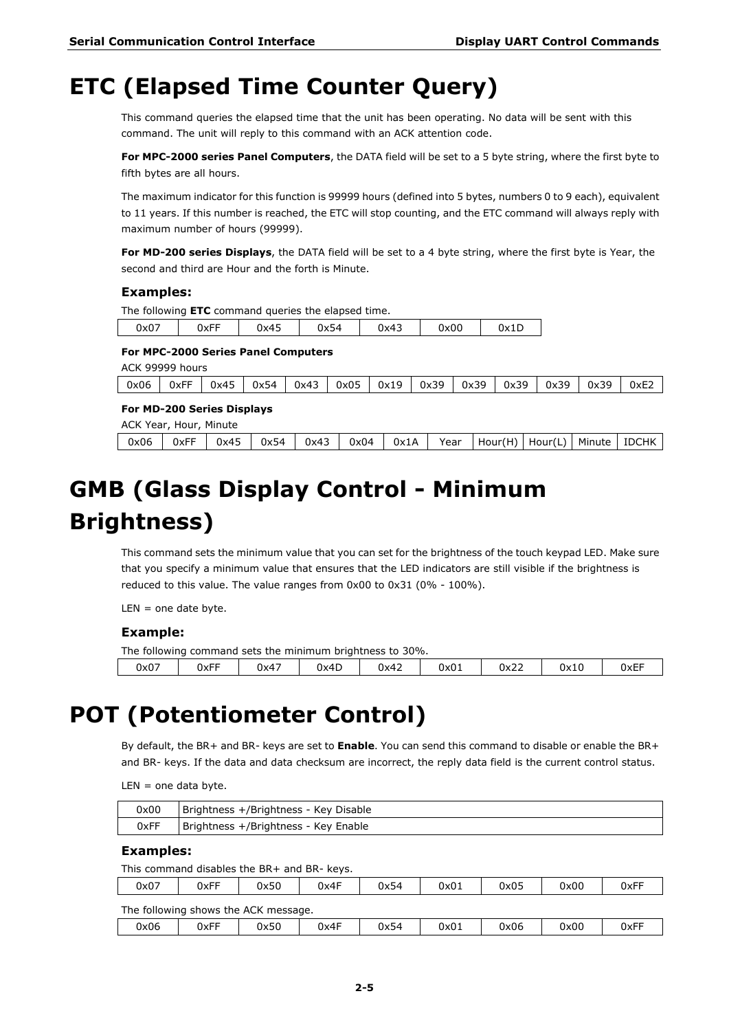## <span id="page-14-0"></span>**ETC (Elapsed Time Counter Query)**

This command queries the elapsed time that the unit has been operating. No data will be sent with this command. The unit will reply to this command with an ACK attention code.

**For MPC-2000 series Panel Computers**, the DATA field will be set to a 5 byte string, where the first byte to fifth bytes are all hours.

The maximum indicator for this function is 99999 hours (defined into 5 bytes, numbers 0 to 9 each), equivalent to 11 years. If this number is reached, the ETC will stop counting, and the ETC command will always reply with maximum number of hours (99999).

**For MD-200 series Displays**, the DATA field will be set to a 4 byte string, where the first byte is Year, the second and third are Hour and the forth is Minute.

#### **Examples:**

The following **ETC** command queries the elapsed time.

| 0x00<br>$ -$<br>0x07<br>- -<br>0x45<br>0x43<br>JXFF<br>Jx54 | 0x1L |
|-------------------------------------------------------------|------|
|-------------------------------------------------------------|------|

#### **For MPC-2000 Series Panel Computers**

ACK 99999 hours

| 0x06 | 0xFI | 0x45 | 0x54 | $\sim$<br>0x43 | 0x05 | 0x19 | ാവ<br>0x3 | 30<br>0x39 | 30<br>0x39 | 0x39 | 0x39 | 0xE2 |
|------|------|------|------|----------------|------|------|-----------|------------|------------|------|------|------|
|      |      |      |      |                |      |      |           |            |            |      |      |      |

#### **For MD-200 Series Displays**

|  | ACK Year, Hour, Minute |  |  |  |                                                                                                         |  |  |
|--|------------------------|--|--|--|---------------------------------------------------------------------------------------------------------|--|--|
|  |                        |  |  |  | 0x06   0xFF   0x45   0x54   0x43   0x04   0x1A   Year   Hour(H)   Hour(L)   Minute   IDCHK <sup> </sup> |  |  |

# <span id="page-14-1"></span>**GMB (Glass Display Control - Minimum Brightness)**

This command sets the minimum value that you can set for the brightness of the touch keypad LED. Make sure that you specify a minimum value that ensures that the LED indicators are still visible if the brightness is reduced to this value. The value ranges from 0x00 to 0x31 (0% - 100%).

 $LEN = one date byte.$ 

#### **Example:**

The following command sets the minimum brightness to 30%.

|      | -                  |                                  | --   |      |      |                       |      |            |
|------|--------------------|----------------------------------|------|------|------|-----------------------|------|------------|
| 0x07 | $-$<br><b>UXFF</b> | $\overline{\phantom{a}}$<br>0x4, | 0x4D | 0x42 | 0x01 | $\sim$ $\sim$<br>0x22 | 0x10 | ——<br>0xEF |
|      |                    |                                  |      |      |      |                       |      |            |

### <span id="page-14-2"></span>**POT (Potentiometer Control)**

By default, the BR+ and BR- keys are set to **Enable**. You can send this command to disable or enable the BR+ and BR- keys. If the data and data checksum are incorrect, the reply data field is the current control status.

 $LEN =$  one data byte.

| 0x00 | Brightness +/Brightness - Key Disable |
|------|---------------------------------------|
| 0xFF | Brightness +/Brightness - Key Enable  |

#### **Examples:**

This command disables the BR+ and BR- keys.

| 0x07           | 0xFF | 0x50                   | Jx4F | 0x54 | 0x01 | 0x05 | 0x00 | 0xFF |
|----------------|------|------------------------|------|------|------|------|------|------|
| The following. |      | shows the ACK message. |      |      |      |      |      |      |

| 0x06 | UxFF | 0x50 | 0x4F | 0x54 | 0x01 | 0x06 | 0x00 | $ -$<br>'\v∟⊾<br><b>UXL</b> |
|------|------|------|------|------|------|------|------|-----------------------------|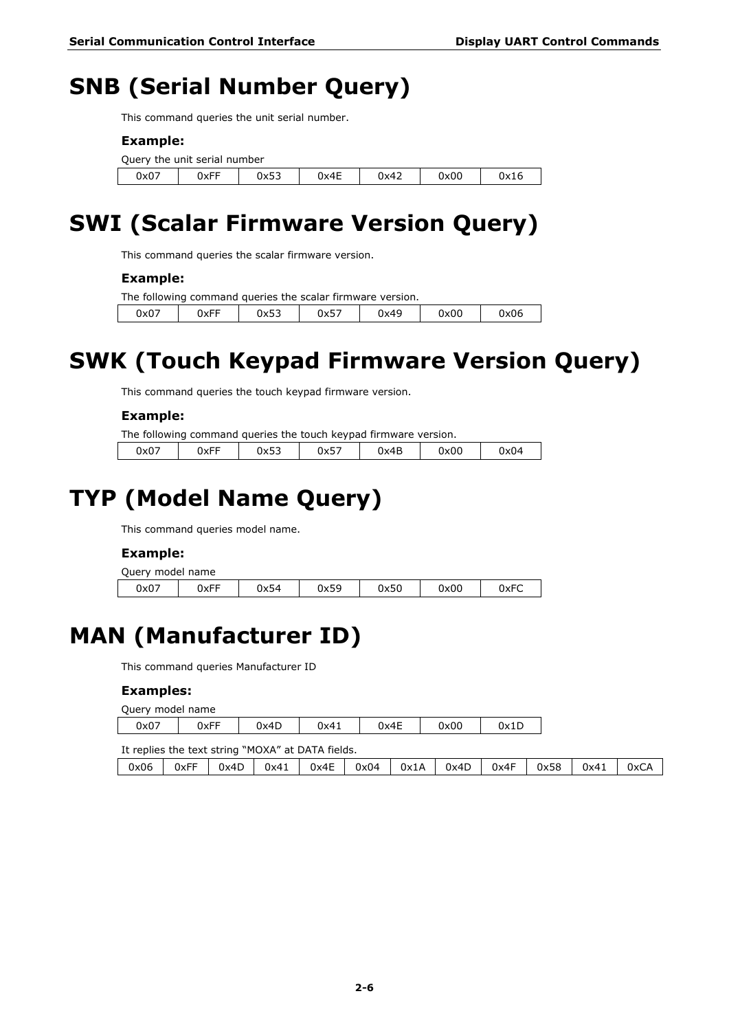## <span id="page-15-0"></span>**SNB (Serial Number Query)**

This command queries the unit serial number.

#### **Example:**

| Query the unit serial number |      |      |      |      |      |      |  |
|------------------------------|------|------|------|------|------|------|--|
| 0x07                         | 0xFF | 0x53 | 0x4E | 0x42 | 0x00 | 0x16 |  |

## <span id="page-15-1"></span>**SWI (Scalar Firmware Version Query)**

This command queries the scalar firmware version.

#### **Example:**

|      |      |      | The following command queries the scalar firmware version. |      |      |      |
|------|------|------|------------------------------------------------------------|------|------|------|
| 0x07 | 0xFF | 0x53 | 0x57                                                       | 0x49 | 0x00 | 0x06 |

## <span id="page-15-2"></span>**SWK (Touch Keypad Firmware Version Query)**

This command queries the touch keypad firmware version.

#### **Example:**

|      | The following command queries the touch keypad firmware version. |      |      |      |      |      |
|------|------------------------------------------------------------------|------|------|------|------|------|
| 0x07 | 0xFF                                                             | 0x53 | 0x57 | 0x4B | 0x00 | 0x04 |

# <span id="page-15-3"></span>**TYP (Model Name Query)**

This command queries model name.

#### **Example:**

| Query model name |      |      |      |      |      |      |
|------------------|------|------|------|------|------|------|
| 0x07             | 0xFF | 0x54 | 0x59 | 0x50 | 0x00 | 0xFC |

## <span id="page-15-4"></span>**MAN (Manufacturer ID)**

This command queries Manufacturer ID

#### **Examples:**

| Query model name |      |      |      |                                                   |      |      |      |      |      |      |      |
|------------------|------|------|------|---------------------------------------------------|------|------|------|------|------|------|------|
| 0x07             |      | 0xFF | 0x4D | 0x41                                              |      | 0x4E | 0x00 | 0x1D |      |      |      |
|                  |      |      |      | It replies the text string "MOXA" at DATA fields. |      |      |      |      |      |      |      |
| 0x06             | 0xFF | 0x4D | 0x41 | 0x4E                                              | 0x04 | 0x1A | 0x4D | 0x4F | 0x58 | 0x41 | 0xCA |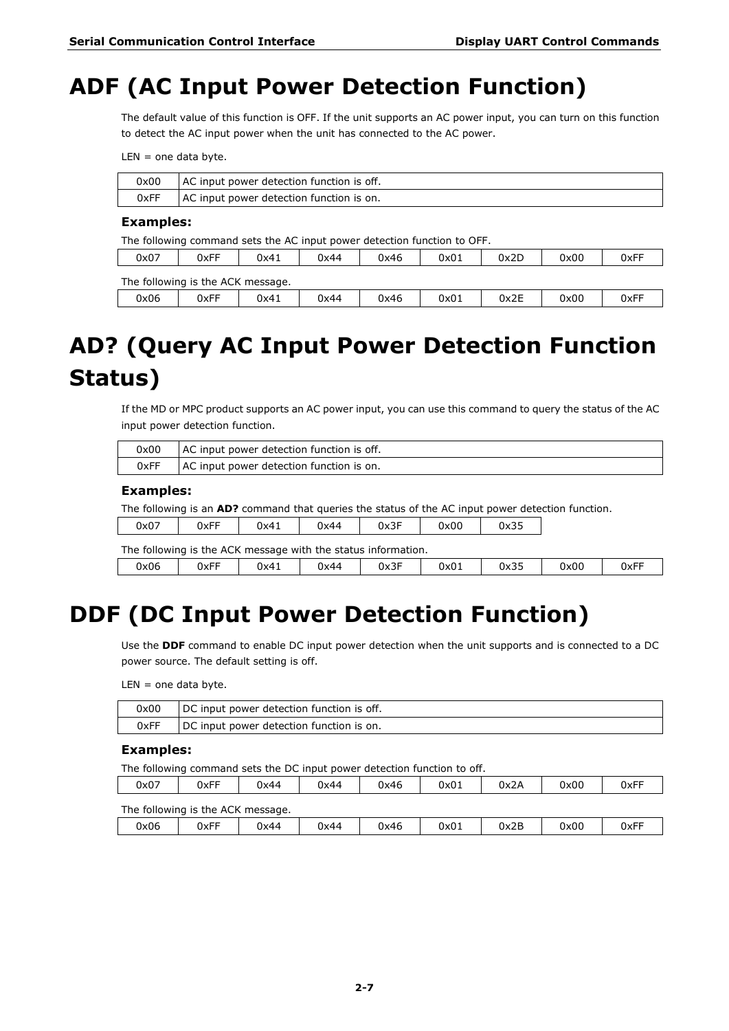### <span id="page-16-0"></span>**ADF (AC Input Power Detection Function)**

The default value of this function is OFF. If the unit supports an AC power input, you can turn on this function to detect the AC input power when the unit has connected to the AC power.

 $LEN =$  one data byte.

| 0x00 | AC input power detection function is off. |
|------|-------------------------------------------|
| 0xFF | AC input power detection function is on.  |

#### **Examples:**

The following command sets the AC input power detection function to OFF.

| 0x07 | 0xFF                              | 0x41 | 0x44 | 0x46 | 0x01 | 0x2D | 0x00 | 0xFF |
|------|-----------------------------------|------|------|------|------|------|------|------|
|      | The following is the ACK message. |      |      |      |      |      |      |      |
| 0x06 | 0xFF                              | 0x41 | 0x44 | 0x46 | 0x01 | 0x2E | 0x00 | 0xFF |

## <span id="page-16-1"></span>**AD? (Query AC Input Power Detection Function Status)**

If the MD or MPC product supports an AC power input, you can use this command to query the status of the AC input power detection function.

| 0x00 | AC input power detection function is off. |
|------|-------------------------------------------|
| 0xFF | AC input power detection function is on.  |

#### **Examples:**

The following is an **AD?** command that queries the status of the AC input power detection function.

|  | 0x07 | <b>JxFF</b> | 0x41 | 0x44 | $-$<br>0x3. | 0x00 | $\sim$ $\sim$<br>0x35 |
|--|------|-------------|------|------|-------------|------|-----------------------|
|--|------|-------------|------|------|-------------|------|-----------------------|

|      | The following is the ACK message with the status information. |      |      |      |      |      |      |      |  |
|------|---------------------------------------------------------------|------|------|------|------|------|------|------|--|
| 0x06 | 0xFF                                                          | 0x41 | 0x44 | 0x3F | 0x01 | 0x35 | 0x00 | 0xFF |  |

## <span id="page-16-2"></span>**DDF (DC Input Power Detection Function)**

Use the **DDF** command to enable DC input power detection when the unit supports and is connected to a DC power source. The default setting is off.

 $LEN =$  one data byte.

| 0x00 | DC input power detection function is off. |
|------|-------------------------------------------|
| 0xFF | DC input power detection function is on.  |

#### **Examples:**

The following command sets the DC input power detection function to off.

| 0x07 | 0xFF                              | 0x44 | 0x44 | 0x46 | 0x01 | 0x2A | 0x00 | 0xFF |  |  |  |
|------|-----------------------------------|------|------|------|------|------|------|------|--|--|--|
|      | The following is the ACK message. |      |      |      |      |      |      |      |  |  |  |
| 0x06 | 0xFF                              | 0x44 | 0x44 | 0x46 | 0x01 | 0x2B | 0x00 | 0xFF |  |  |  |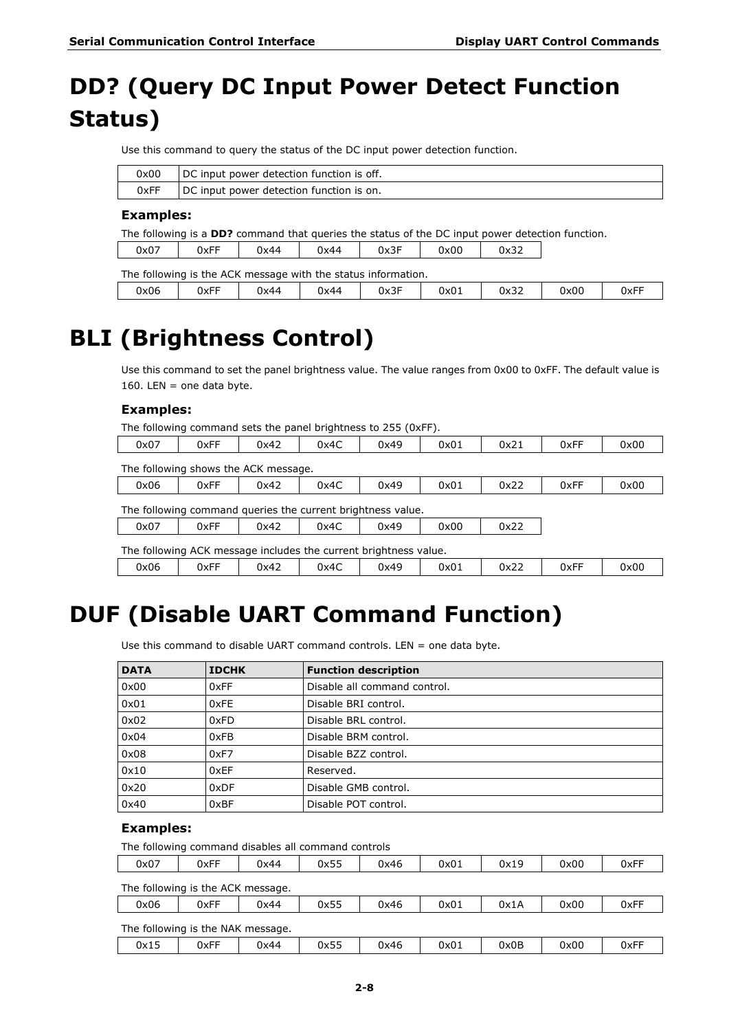## <span id="page-17-0"></span>**DD? (Query DC Input Power Detect Function Status)**

Use this command to query the status of the DC input power detection function.

| 0x00 | DC input power detection function is off. |
|------|-------------------------------------------|
| 0xFF | DC input power detection function is on.  |

#### **Examples:**

The following is a **DD?** command that queries the status of the DC input power detection function.

| 0x07 | 0xFF | ')x44 | 0x44 | $\sim$ $-$<br>0x3I<br>⊣ ⊱ | 0x00 | 0x32 |
|------|------|-------|------|---------------------------|------|------|
|      |      |       |      |                           |      |      |

|      | The following is the ACK message with the status information. |      |      |      |      |      |      |      |  |  |
|------|---------------------------------------------------------------|------|------|------|------|------|------|------|--|--|
| 0x06 | 0xFF                                                          | 0x44 | 0x44 | 0x3F | 0x01 | 0x32 | 0x00 | 0xFF |  |  |

### <span id="page-17-1"></span>**BLI (Brightness Control)**

Use this command to set the panel brightness value. The value ranges from 0x00 to 0xFF. The default value is 160. LEN = one data byte.

#### **Examples:**

| The following command sets the panel brightness to 255 (0xFF). |  |  |  |  |
|----------------------------------------------------------------|--|--|--|--|
|                                                                |  |  |  |  |

| 0x07 | 0xFF                                                             | 0x42 | 0x4C | 0x49 | 0x01 | 0x21 | 0xFF | 0x00 |  |  |  |
|------|------------------------------------------------------------------|------|------|------|------|------|------|------|--|--|--|
|      | The following shows the ACK message.                             |      |      |      |      |      |      |      |  |  |  |
| 0x06 | 0xFF                                                             | 0x42 | 0x4C | 0x49 | 0x01 | 0x22 | 0xFF | 0x00 |  |  |  |
|      | The following command queries the current brightness value.      |      |      |      |      |      |      |      |  |  |  |
| 0x07 | 0xFF                                                             | 0x42 | 0x4C | 0x49 | 0x00 | 0x22 |      |      |  |  |  |
|      | The following ACK message includes the current brightness value. |      |      |      |      |      |      |      |  |  |  |

0x06 | 0xFF | 0x42 | 0x4C | 0x49 | 0x01 | 0x22 | 0xFF | 0x00

## <span id="page-17-2"></span>**DUF (Disable UART Command Function)**

Use this command to disable UART command controls. LEN = one data byte.

| <b>DATA</b> | <b>IDCHK</b> | <b>Function description</b>  |
|-------------|--------------|------------------------------|
| 0x00        | 0xFF         | Disable all command control. |
| 0x01        | 0xFE         | Disable BRI control.         |
| 0x02        | 0xFD         | Disable BRL control.         |
| 0x04        | 0xFB         | Disable BRM control.         |
| 0x08        | 0xF7         | Disable BZZ control.         |
| 0x10        | 0xEF         | Reserved.                    |
| 0x20        | 0xDF         | Disable GMB control.         |
| 0x40        | 0xBF         | Disable POT control.         |

#### **Examples:**

The following command disables all command controls

| 0x07 | $ -$<br><b>OXFF</b> | 0x44 | $ -$<br>0x55 | 0x46 | 0x01 | 0x19 | 0x00 | ___<br>0xF |
|------|---------------------|------|--------------|------|------|------|------|------------|
|      |                     |      |              |      |      |      |      |            |

The following is the ACK message.

| 0x06                              | 0xFF | 0x44 | 0x55 | 0x46 | 0x01 | 0x1A | 0x00 | 0xFF |
|-----------------------------------|------|------|------|------|------|------|------|------|
| The following is the NAK message. |      |      |      |      |      |      |      |      |

|      | $111210110111119101111011111111100001901$ |      |              |      |      |      |      |              |
|------|-------------------------------------------|------|--------------|------|------|------|------|--------------|
| 0x15 | <b>OxFF</b>                               | 0x44 | - --<br>0x55 | 0x46 | 0x01 | 0x0B | 0x00 | - --<br>0xFI |
|      |                                           |      |              |      |      |      |      |              |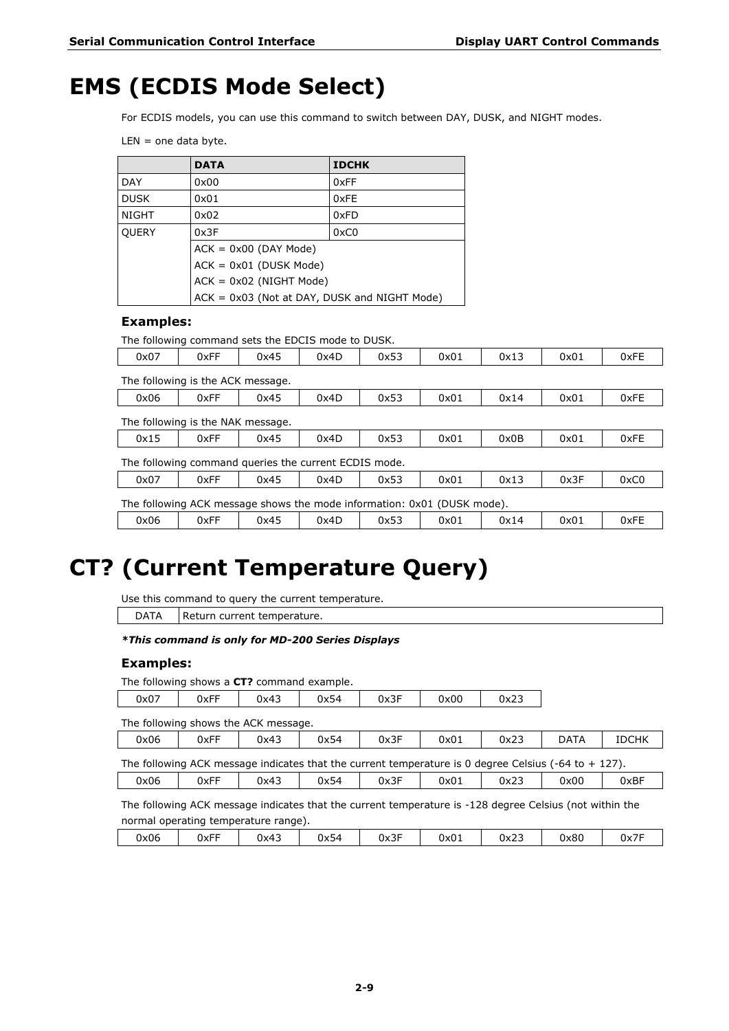## <span id="page-18-0"></span>**EMS (ECDIS Mode Select)**

For ECDIS models, you can use this command to switch between DAY, DUSK, and NIGHT modes.

 $LEN =$  one data byte.

|                           | <b>IDCHK</b><br><b>DATA</b>                    |      |  |  |  |  |  |
|---------------------------|------------------------------------------------|------|--|--|--|--|--|
| <b>DAY</b>                | 0x00                                           | 0xFF |  |  |  |  |  |
| <b>DUSK</b>               | 0x01                                           | 0xFE |  |  |  |  |  |
| <b>NIGHT</b>              | 0xFD<br>0x02                                   |      |  |  |  |  |  |
| <b>OUERY</b>              | 0xC0<br>0x3F                                   |      |  |  |  |  |  |
|                           | $ACK = 0x00$ (DAY Mode)                        |      |  |  |  |  |  |
|                           |                                                |      |  |  |  |  |  |
| $ACK = 0x02$ (NIGHT Mode) |                                                |      |  |  |  |  |  |
|                           | $ACK = 0x03$ (Not at DAY, DUSK and NIGHT Mode) |      |  |  |  |  |  |

#### **Examples:**

The following command sets the EDCIS mode to DUSK.

| 0x07                                                                    | 0xFF | 0x45 | 0x4D | 0x53 | 0x01 | 0x13 | 0x01 | 0xFE |
|-------------------------------------------------------------------------|------|------|------|------|------|------|------|------|
| The following is the ACK message.                                       |      |      |      |      |      |      |      |      |
| 0x06                                                                    | 0xFF | 0x45 | 0x4D | 0x53 | 0x01 | 0x14 | 0x01 | 0xFE |
| The following is the NAK message.                                       |      |      |      |      |      |      |      |      |
| 0x15                                                                    | 0xFF | 0x45 | 0x4D | 0x53 | 0x01 | 0x0B | 0x01 | 0xFE |
| The following command queries the current ECDIS mode.                   |      |      |      |      |      |      |      |      |
| 0x07                                                                    | 0xFF | 0x45 | 0x4D | 0x53 | 0x01 | 0x13 | 0x3F | 0xC0 |
| The following ACK message shows the mode information: 0x01 (DUSK mode). |      |      |      |      |      |      |      |      |
| 0x06                                                                    | 0xFF | 0x45 | 0x4D | 0x53 | 0x01 | 0x14 | 0x01 | 0xFE |

## <span id="page-18-1"></span>**CT? (Current Temperature Query)**

Use this command to query the current temperature.

 $\overline{DATA}$  Return current temperature.

#### *\*This command is only for MD-200 Series Displays*

#### **Examples:**

| The following shows a CT? command example. |
|--------------------------------------------|
|--------------------------------------------|

| 0x07 | 0xFF | 0x43 | $ \cdot$<br>0x54 | $\sim$ $-$<br>UX3. | 0x00 | $\sim$<br>0x23 |
|------|------|------|------------------|--------------------|------|----------------|
|      |      |      |                  |                    |      |                |

The following shows the ACK message.

| 0x06 | 0xFF | 0x43 | 0x54 | 0x3F | 0x01 | $\sim$<br>0x23 | <b>DATA</b> | <b>IDCHK</b> |
|------|------|------|------|------|------|----------------|-------------|--------------|
|      |      |      |      |      |      |                |             |              |

|  |  |  | The following ACK message indicates that the current temperature is 0 degree Celsius $(-64 \text{ to } +127)$ . |  |
|--|--|--|-----------------------------------------------------------------------------------------------------------------|--|
|  |  |  |                                                                                                                 |  |

0x06 | 0xFF | 0x43 | 0x54 | 0x3F | 0x01 | 0x23 | 0x00 | 0xBF The following ACK message indicates that the current temperature is -128 degree Celsius (not within the

| 0xFF<br>0x3F<br>0x23<br>0x80<br>0x06<br>0x54<br>0x01<br>0x43<br>0x7 | normal operating temperature range). |  |  |  |  |  |  |  |  |
|---------------------------------------------------------------------|--------------------------------------|--|--|--|--|--|--|--|--|
|                                                                     |                                      |  |  |  |  |  |  |  |  |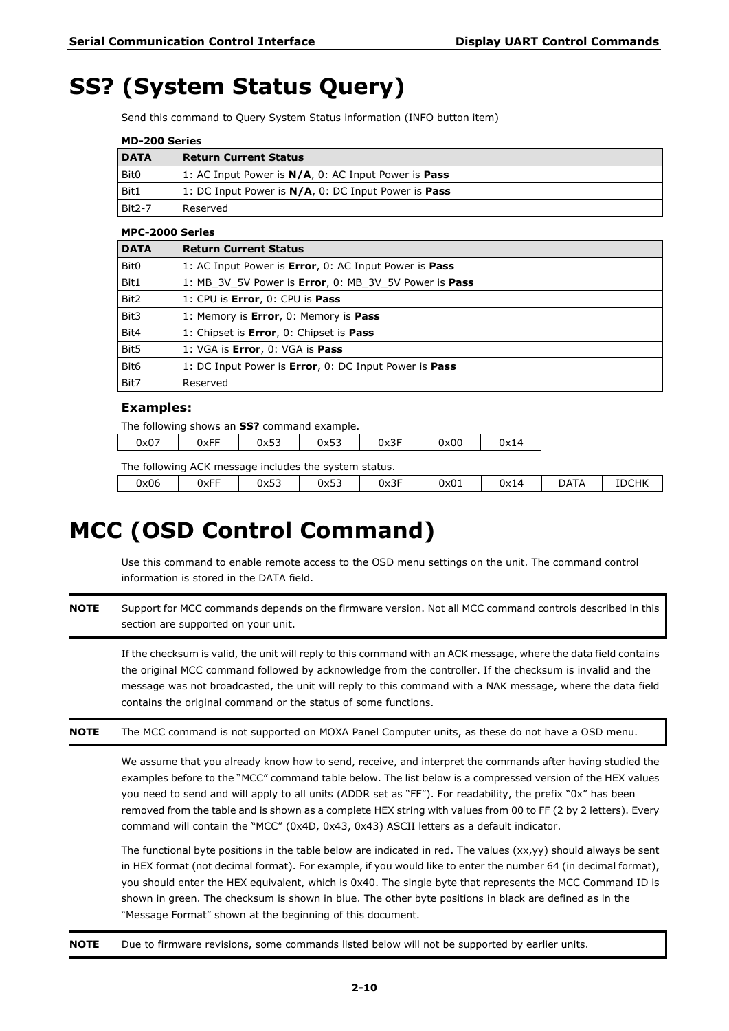## <span id="page-19-0"></span>**SS? (System Status Query)**

Send this command to Query System Status information (INFO button item)

| MD-200 Series |
|---------------|
|---------------|

| <b>DATA</b>      | <b>Return Current Status</b>                                       |
|------------------|--------------------------------------------------------------------|
| Bit <sub>0</sub> | 1: AC Input Power is <b>N/A</b> , 0: AC Input Power is <b>Pass</b> |
| Bit1             | 1: DC Input Power is <b>N/A</b> , 0: DC Input Power is <b>Pass</b> |
| Bit2-7           | l Reserved                                                         |

#### **MPC-2000 Series**

| <b>DATA</b>      | <b>Return Current Status</b>                          |
|------------------|-------------------------------------------------------|
| Bit <sub>0</sub> | 1: AC Input Power is Error, 0: AC Input Power is Pass |
| Bit1             | 1: MB 3V 5V Power is Error, 0: MB 3V 5V Power is Pass |
| Bit <sub>2</sub> | 1: CPU is Error, 0: CPU is Pass                       |
| Bit3             | 1: Memory is Error, 0: Memory is Pass                 |
| Bit4             | 1: Chipset is Error, 0: Chipset is Pass               |
| Bit5             | 1: VGA is Error, 0: VGA is Pass                       |
| Bit <sub>6</sub> | 1: DC Input Power is Error, 0: DC Input Power is Pass |
| Bit7             | Reserved                                              |

#### **Examples:**

| The following shows an SS? command example.           |      |      |      |      |      |      |             |              |
|-------------------------------------------------------|------|------|------|------|------|------|-------------|--------------|
| 0x07                                                  | 0xFF | 0x53 | 0x53 | 0x3F | 0x00 | 0x14 |             |              |
| The following ACK message includes the system status. |      |      |      |      |      |      |             |              |
| 0x06                                                  | 0xFF | 0x53 | 0x53 | 0x3F | 0x01 | 0x14 | <b>DATA</b> | <b>IDCHK</b> |

## <span id="page-19-1"></span>**MCC (OSD Control Command)**

Use this command to enable remote access to the OSD menu settings on the unit. The command control information is stored in the DATA field.

**NOTE** Support for MCC commands depends on the firmware version. Not all MCC command controls described in this section are supported on your unit.

If the checksum is valid, the unit will reply to this command with an ACK message, where the data field contains the original MCC command followed by acknowledge from the controller. If the checksum is invalid and the message was not broadcasted, the unit will reply to this command with a NAK message, where the data field contains the original command or the status of some functions.

**NOTE** The MCC command is not supported on MOXA Panel Computer units, as these do not have a OSD menu.

We assume that you already know how to send, receive, and interpret the commands after having studied the examples before to the "MCC" command table below. The list below is a compressed version of the HEX values you need to send and will apply to all units (ADDR set as "FF"). For readability, the prefix "0x" has been removed from the table and is shown as a complete HEX string with values from 00 to FF (2 by 2 letters). Every command will contain the "MCC" (0x4D, 0x43, 0x43) ASCII letters as a default indicator.

The functional byte positions in the table below are indicated in red. The values (xx,yy) should always be sent in HEX format (not decimal format). For example, if you would like to enter the number 64 (in decimal format), you should enter the HEX equivalent, which is 0x40. The single byte that represents the MCC Command ID is shown in green. The checksum is shown in blue. The other byte positions in black are defined as in the "Message Format" shown at the beginning of this document.

**NOTE** Due to firmware revisions, some commands listed below will not be supported by earlier units.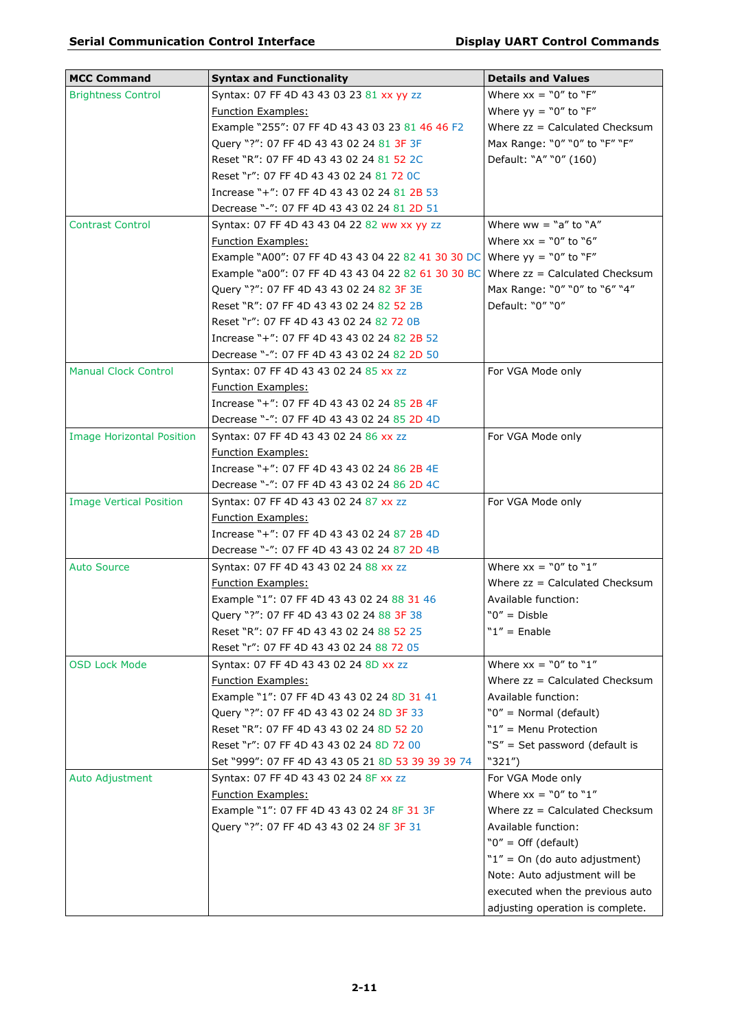| <b>MCC Command</b>               |                                                                          | <b>Details and Values</b>        |
|----------------------------------|--------------------------------------------------------------------------|----------------------------------|
|                                  | <b>Syntax and Functionality</b>                                          |                                  |
| <b>Brightness Control</b>        | Syntax: 07 FF 4D 43 43 03 23 81 xx yy zz                                 | Where $xx = "0"$ to "F"          |
|                                  | <b>Function Examples:</b>                                                | Where $yy = "0"$ to "F"          |
|                                  | Example "255": 07 FF 4D 43 43 03 23 81 46 46 F2                          | Where $zz =$ Calculated Checksum |
|                                  | Query "?": 07 FF 4D 43 43 02 24 81 3F 3F                                 | Max Range: "0" "0" to "F" "F"    |
|                                  | Reset "R": 07 FF 4D 43 43 02 24 81 52 2C                                 | Default: "A" "0" (160)           |
|                                  | Reset "r": 07 FF 4D 43 43 02 24 81 72 0C                                 |                                  |
|                                  | Increase "+": 07 FF 4D 43 43 02 24 81 2B 53                              |                                  |
|                                  | Decrease "-": 07 FF 4D 43 43 02 24 81 2D 51                              |                                  |
| <b>Contrast Control</b>          | Syntax: 07 FF 4D 43 43 04 22 82 ww xx yy zz                              | Where ww = "a" to "A"            |
|                                  | <b>Function Examples:</b>                                                | Where $xx = "0"$ to "6"          |
|                                  | Example "A00": 07 FF 4D 43 43 04 22 82 41 30 30 DC Where yy = "0" to "F" |                                  |
|                                  | Example "a00": 07 FF 4D 43 43 04 22 82 61 30 30 BC                       | Where $zz =$ Calculated Checksum |
|                                  | Query "?": 07 FF 4D 43 43 02 24 82 3F 3E                                 | Max Range: "0" "0" to "6" "4"    |
|                                  | Reset "R": 07 FF 4D 43 43 02 24 82 52 2B                                 | Default: "0" "0"                 |
|                                  | Reset "r": 07 FF 4D 43 43 02 24 82 72 0B                                 |                                  |
|                                  | Increase "+": 07 FF 4D 43 43 02 24 82 2B 52                              |                                  |
|                                  | Decrease "-": 07 FF 4D 43 43 02 24 82 2D 50                              |                                  |
| <b>Manual Clock Control</b>      | Syntax: 07 FF 4D 43 43 02 24 85 xx zz                                    | For VGA Mode only                |
|                                  | <b>Function Examples:</b>                                                |                                  |
|                                  | Increase "+": 07 FF 4D 43 43 02 24 85 2B 4F                              |                                  |
|                                  | Decrease "-": 07 FF 4D 43 43 02 24 85 2D 4D                              |                                  |
| <b>Image Horizontal Position</b> | Syntax: 07 FF 4D 43 43 02 24 86 xx zz                                    | For VGA Mode only                |
|                                  | <b>Function Examples:</b>                                                |                                  |
|                                  | Increase "+": 07 FF 4D 43 43 02 24 86 2B 4E                              |                                  |
|                                  | Decrease "-": 07 FF 4D 43 43 02 24 86 2D 4C                              |                                  |
| <b>Image Vertical Position</b>   | Syntax: 07 FF 4D 43 43 02 24 87 xx zz                                    | For VGA Mode only                |
|                                  | <b>Function Examples:</b>                                                |                                  |
|                                  | Increase "+": 07 FF 4D 43 43 02 24 87 2B 4D                              |                                  |
|                                  | Decrease "-": 07 FF 4D 43 43 02 24 87 2D 4B                              |                                  |
| <b>Auto Source</b>               | Syntax: 07 FF 4D 43 43 02 24 88 xx zz                                    | Where $xx = "0"$ to "1"          |
|                                  | <b>Function Examples:</b>                                                | Where $zz =$ Calculated Checksum |
|                                  | Example "1": 07 FF 4D 43 43 02 24 88 31 46                               | Available function:              |
|                                  | Query "?": 07 FF 4D 43 43 02 24 88 3F 38                                 | " $0" = Disble$                  |
|                                  | Reset "R": 07 FF 4D 43 43 02 24 88 52 25                                 | " $1"$ = Enable                  |
|                                  | Reset "r": 07 FF 4D 43 43 02 24 88 72 05                                 |                                  |
| <b>OSD Lock Mode</b>             | Syntax: 07 FF 4D 43 43 02 24 8D xx zz                                    | Where $xx = "0"$ to "1"          |
|                                  | <b>Function Examples:</b>                                                | Where $zz =$ Calculated Checksum |
|                                  | Example "1": 07 FF 4D 43 43 02 24 8D 31 41                               | Available function:              |
|                                  | Query "?": 07 FF 4D 43 43 02 24 8D 3F 33                                 | "0" = Normal (default)           |
|                                  | Reset "R": 07 FF 4D 43 43 02 24 8D 52 20                                 | " $1"$ = Menu Protection         |
|                                  | Reset "r": 07 FF 4D 43 43 02 24 8D 72 00                                 | "S" = Set password (default is   |
|                                  | Set "999": 07 FF 4D 43 43 05 21 8D 53 39 39 39 74                        | "321")                           |
| Auto Adjustment                  | Syntax: 07 FF 4D 43 43 02 24 8F xx zz                                    | For VGA Mode only                |
|                                  | <b>Function Examples:</b>                                                | Where $xx = "0"$ to "1"          |
|                                  | Example "1": 07 FF 4D 43 43 02 24 8F 31 3F                               | Where $zz =$ Calculated Checksum |
|                                  | Query "?": 07 FF 4D 43 43 02 24 8F 3F 31                                 | Available function:              |
|                                  |                                                                          | " $0" =$ Off (default)           |
|                                  |                                                                          |                                  |
|                                  |                                                                          | " $1" = On (do auto adjustment)$ |
|                                  |                                                                          | Note: Auto adjustment will be    |
|                                  |                                                                          | executed when the previous auto  |
|                                  |                                                                          | adjusting operation is complete. |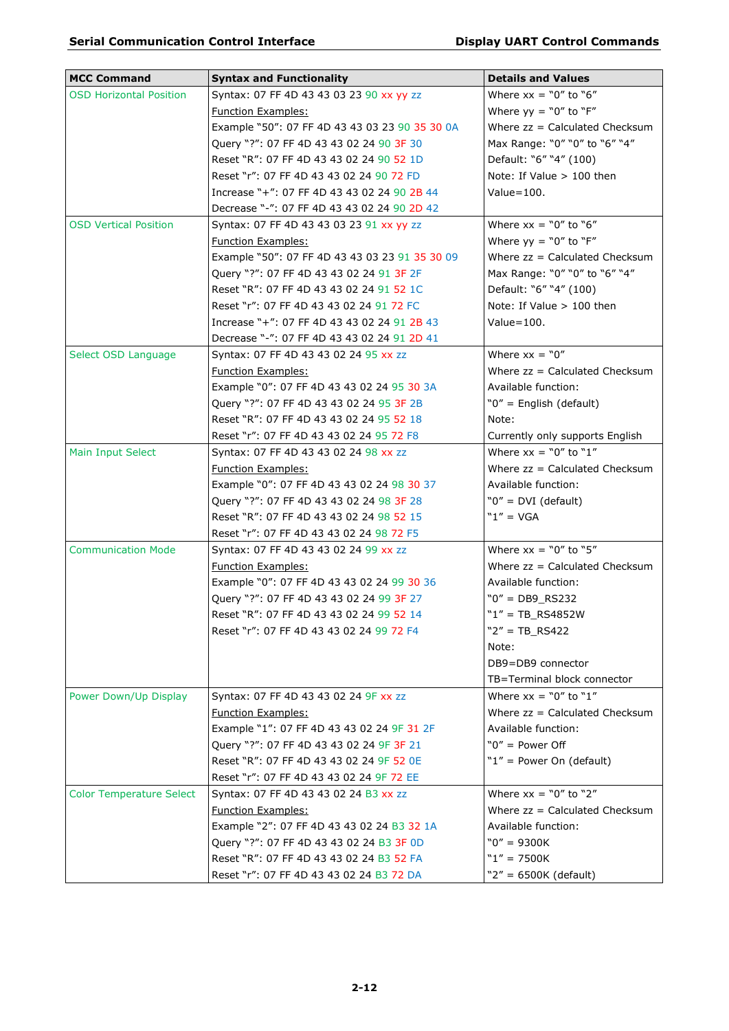| <b>MCC Command</b>              | <b>Syntax and Functionality</b>                | <b>Details and Values</b>        |
|---------------------------------|------------------------------------------------|----------------------------------|
| <b>OSD Horizontal Position</b>  | Syntax: 07 FF 4D 43 43 03 23 90 xx yy zz       | Where $xx = "0"$ to "6"          |
|                                 | <b>Function Examples:</b>                      | Where $yy = "0"$ to "F"          |
|                                 | Example "50": 07 FF 4D 43 43 03 23 90 35 30 0A | Where $zz =$ Calculated Checksum |
|                                 | Query "?": 07 FF 4D 43 43 02 24 90 3F 30       | Max Range: "0" "0" to "6" "4"    |
|                                 | Reset "R": 07 FF 4D 43 43 02 24 90 52 1D       | Default: "6" "4" (100)           |
|                                 | Reset "r": 07 FF 4D 43 43 02 24 90 72 FD       | Note: If Value > 100 then        |
|                                 | Increase "+": 07 FF 4D 43 43 02 24 90 2B 44    | Value $=$ 100.                   |
|                                 | Decrease "-": 07 FF 4D 43 43 02 24 90 2D 42    |                                  |
| <b>OSD Vertical Position</b>    | Syntax: 07 FF 4D 43 43 03 23 91 xx yy zz       | Where $xx = "0"$ to "6"          |
|                                 | <b>Function Examples:</b>                      | Where $yy = "0"$ to "F"          |
|                                 | Example "50": 07 FF 4D 43 43 03 23 91 35 30 09 | Where $zz =$ Calculated Checksum |
|                                 | Query "?": 07 FF 4D 43 43 02 24 91 3F 2F       | Max Range: "0" "0" to "6" "4"    |
|                                 | Reset "R": 07 FF 4D 43 43 02 24 91 52 1C       | Default: "6" "4" (100)           |
|                                 | Reset "r": 07 FF 4D 43 43 02 24 91 72 FC       | Note: If Value > 100 then        |
|                                 | Increase "+": 07 FF 4D 43 43 02 24 91 2B 43    | $Value=100.$                     |
|                                 | Decrease "-": 07 FF 4D 43 43 02 24 91 2D 41    |                                  |
| Select OSD Language             | Syntax: 07 FF 4D 43 43 02 24 95 xx zz          | Where $xx = "0"$                 |
|                                 | <b>Function Examples:</b>                      | Where zz = Calculated Checksum   |
|                                 | Example "0": 07 FF 4D 43 43 02 24 95 30 3A     | Available function:              |
|                                 | Query "?": 07 FF 4D 43 43 02 24 95 3F 2B       | "0" = English (default)          |
|                                 | Reset "R": 07 FF 4D 43 43 02 24 95 52 18       | Note:                            |
|                                 | Reset "r": 07 FF 4D 43 43 02 24 95 72 F8       | Currently only supports English  |
| Main Input Select               | Syntax: 07 FF 4D 43 43 02 24 98 xx zz          | Where $xx = "0"$ to "1"          |
|                                 | <b>Function Examples:</b>                      | Where $zz =$ Calculated Checksum |
|                                 | Example "0": 07 FF 4D 43 43 02 24 98 30 37     | Available function:              |
|                                 | Query "?": 07 FF 4D 43 43 02 24 98 3F 28       | " $0" = DVI$ (default)           |
|                                 | Reset "R": 07 FF 4D 43 43 02 24 98 52 15       | $"1" = VGA$                      |
|                                 | Reset "r": 07 FF 4D 43 43 02 24 98 72 F5       |                                  |
| <b>Communication Mode</b>       | Syntax: 07 FF 4D 43 43 02 24 99 xx zz          | Where $xx = "0"$ to "5"          |
|                                 | <b>Function Examples:</b>                      | Where $zz =$ Calculated Checksum |
|                                 | Example "0": 07 FF 4D 43 43 02 24 99 30 36     | Available function:              |
|                                 | Query "?": 07 FF 4D 43 43 02 24 99 3F 27       | $"0" = DB9_RS232$                |
|                                 | Reset "R": 07 FF 4D 43 43 02 24 99 52 14       | $"1" = TB_R S4852W$              |
|                                 | Reset "r": 07 FF 4D 43 43 02 24 99 72 F4       | $"2" = TB_R S422$                |
|                                 |                                                | Note:                            |
|                                 |                                                | DB9=DB9 connector                |
|                                 |                                                | TB=Terminal block connector      |
| Power Down/Up Display           | Syntax: 07 FF 4D 43 43 02 24 9F xx zz          | Where $xx = "0"$ to "1"          |
|                                 | <b>Function Examples:</b>                      | Where $zz =$ Calculated Checksum |
|                                 | Example "1": 07 FF 4D 43 43 02 24 9F 31 2F     | Available function:              |
|                                 | Query "?": 07 FF 4D 43 43 02 24 9F 3F 21       | " $0"$ = Power Off               |
|                                 | Reset "R": 07 FF 4D 43 43 02 24 9F 52 0E       | " $1"$ = Power On (default)      |
|                                 | Reset "r": 07 FF 4D 43 43 02 24 9F 72 EE       |                                  |
| <b>Color Temperature Select</b> | Syntax: 07 FF 4D 43 43 02 24 B3 xx zz          | Where $xx = "0"$ to "2"          |
|                                 | <b>Function Examples:</b>                      | Where $zz =$ Calculated Checksum |
|                                 | Example "2": 07 FF 4D 43 43 02 24 B3 32 1A     | Available function:              |
|                                 | Query "?": 07 FF 4D 43 43 02 24 B3 3F 0D       | $"0" = 9300K$                    |
|                                 | Reset "R": 07 FF 4D 43 43 02 24 B3 52 FA       | $"1" = 7500K$                    |
|                                 | Reset "r": 07 FF 4D 43 43 02 24 B3 72 DA       | " $2" = 6500K$ (default)         |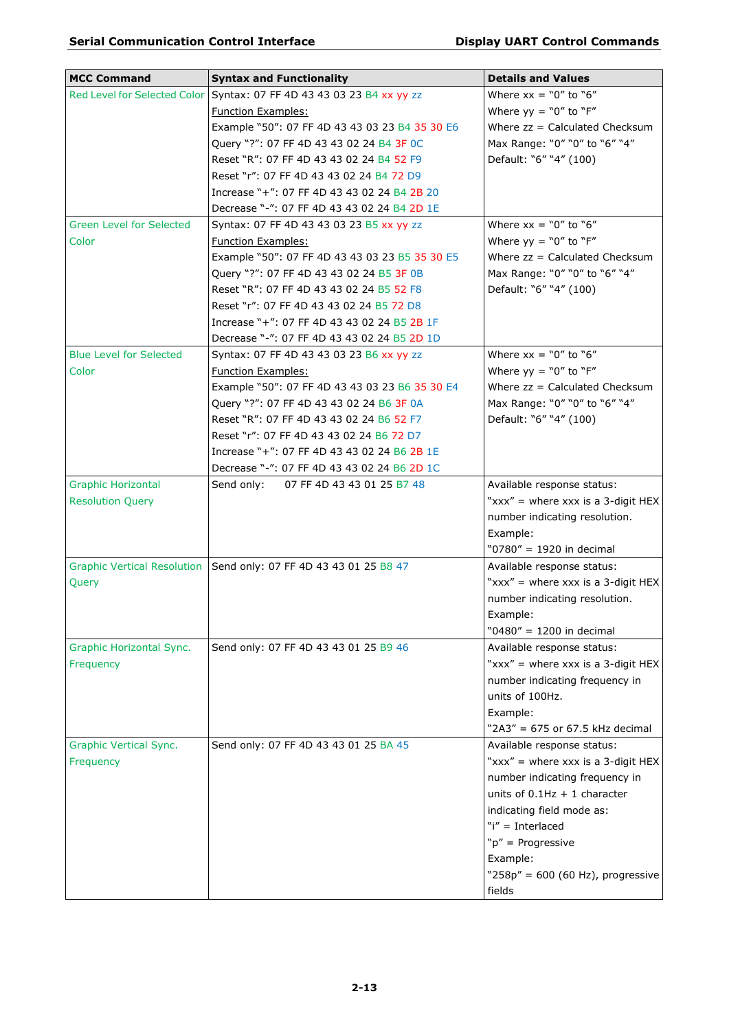| <b>MCC Command</b>             | <b>Syntax and Functionality</b>                                       | <b>Details and Values</b>           |
|--------------------------------|-----------------------------------------------------------------------|-------------------------------------|
|                                | Red Level for Selected Color Syntax: 07 FF 4D 43 43 03 23 B4 xx yy zz | Where $xx = "0"$ to "6"             |
|                                | <b>Function Examples:</b>                                             | Where $yy = "0"$ to "F"             |
|                                | Example "50": 07 FF 4D 43 43 03 23 B4 35 30 E6                        | Where zz = Calculated Checksum      |
|                                | Query "?": 07 FF 4D 43 43 02 24 B4 3F 0C                              | Max Range: "0" "0" to "6" "4"       |
|                                | Reset "R": 07 FF 4D 43 43 02 24 B4 52 F9                              | Default: "6" "4" (100)              |
|                                | Reset "r": 07 FF 4D 43 43 02 24 B4 72 D9                              |                                     |
|                                | Increase "+": 07 FF 4D 43 43 02 24 B4 2B 20                           |                                     |
|                                | Decrease "-": 07 FF 4D 43 43 02 24 B4 2D 1E                           |                                     |
| Green Level for Selected       | Syntax: 07 FF 4D 43 43 03 23 B5 xx yy zz                              | Where $xx = "0"$ to "6"             |
| Color                          | <b>Function Examples:</b>                                             | Where $yy = "0"$ to "F"             |
|                                | Example "50": 07 FF 4D 43 43 03 23 B5 35 30 E5                        | Where $zz =$ Calculated Checksum    |
|                                | Query "?": 07 FF 4D 43 43 02 24 B5 3F 0B                              | Max Range: "0" "0" to "6" "4"       |
|                                | Reset "R": 07 FF 4D 43 43 02 24 B5 52 F8                              | Default: "6" "4" (100)              |
|                                | Reset "r": 07 FF 4D 43 43 02 24 B5 72 D8                              |                                     |
|                                | Increase "+": 07 FF 4D 43 43 02 24 B5 2B 1F                           |                                     |
|                                | Decrease "-": 07 FF 4D 43 43 02 24 B5 2D 1D                           |                                     |
| <b>Blue Level for Selected</b> | Syntax: 07 FF 4D 43 43 03 23 B6 xx yy zz                              | Where $xx = "0"$ to $"6"$           |
| Color                          | <b>Function Examples:</b>                                             | Where $yy = "0"$ to "F"             |
|                                | Example "50": 07 FF 4D 43 43 03 23 B6 35 30 E4                        | Where $zz =$ Calculated Checksum    |
|                                | Query "?": 07 FF 4D 43 43 02 24 B6 3F 0A                              | Max Range: "0" "0" to "6" "4"       |
|                                | Reset "R": 07 FF 4D 43 43 02 24 B6 52 F7                              | Default: "6" "4" (100)              |
|                                | Reset "r": 07 FF 4D 43 43 02 24 B6 72 D7                              |                                     |
|                                | Increase "+": 07 FF 4D 43 43 02 24 B6 2B 1E                           |                                     |
|                                | Decrease "-": 07 FF 4D 43 43 02 24 B6 2D 1C                           |                                     |
| <b>Graphic Horizontal</b>      | Send only: 07 FF 4D 43 43 01 25 B7 48                                 | Available response status:          |
| <b>Resolution Query</b>        |                                                                       | "xxx" = where xxx is a 3-digit HEX  |
|                                |                                                                       | number indicating resolution.       |
|                                |                                                                       | Example:                            |
|                                |                                                                       | "0780" = 1920 in decimal            |
|                                | Graphic Vertical Resolution   Send only: 07 FF 4D 43 43 01 25 B8 47   | Available response status:          |
| Query                          |                                                                       | "xxx" = where xxx is a 3-digit HEX  |
|                                |                                                                       | number indicating resolution.       |
|                                |                                                                       | Example:                            |
|                                |                                                                       | "0480" = 1200 in decimal            |
| Graphic Horizontal Sync.       | Send only: 07 FF 4D 43 43 01 25 B9 46                                 | Available response status:          |
| Frequency                      |                                                                       | "xxx" = where xxx is a 3-digit HEX  |
|                                |                                                                       | number indicating frequency in      |
|                                |                                                                       | units of 100Hz.                     |
|                                |                                                                       | Example:                            |
|                                |                                                                       | "2A3" = 675 or 67.5 kHz decimal     |
| <b>Graphic Vertical Sync.</b>  | Send only: 07 FF 4D 43 43 01 25 BA 45                                 | Available response status:          |
| Frequency                      |                                                                       | "xxx" = where xxx is a 3-digit HEX  |
|                                |                                                                       | number indicating frequency in      |
|                                |                                                                       | units of $0.1$ Hz + 1 character     |
|                                |                                                                       | indicating field mode as:           |
|                                |                                                                       | "i" = Interlaced                    |
|                                |                                                                       | " $p'' =$ Progressive               |
|                                |                                                                       | Example:                            |
|                                |                                                                       | "258p" = $600$ (60 Hz), progressive |
|                                |                                                                       | fields                              |